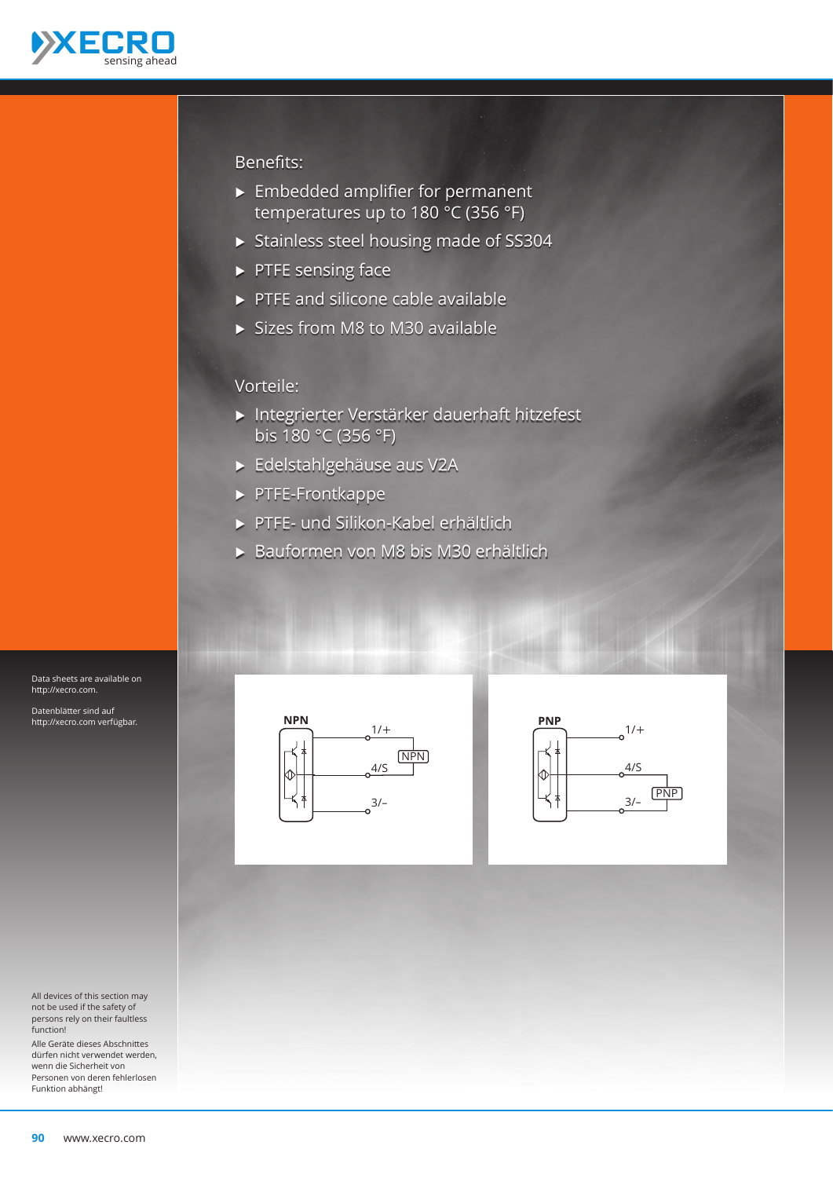

#### Benefits:

- $\blacktriangleright$  Embedded amplifier for permanent temperatures up to 180 °C (356 °F)
- Ѝ Stainless steel housing made of SS304
- $\blacktriangleright$  PTFE sensing face
- $\triangleright$  PTFE and silicone cable available
- $\triangleright$  Sizes from M8 to M30 available

### Vorteile:

- Ѝ Integrierter Verstärker dauerhaft hitzefest bis 180 °C (356 °F)
- Ѝ Edelstahlgehäuse aus V2A
- Ѝ PTFE-Frontkappe
- Ѝ PTFE- und Silikon-Kabel erhältlich
- Ѝ Bauformen von M8 bis M30 erhältlich





Data sheets are available on http://xecro.com.

Datenblätter sind auf http://xecro.com verfügbar.

All devices of this section may not be used if the safety of persons rely on their faultless function!

Alle Geräte dieses Abschnittes dürfen nicht verwendet werden, wenn die Sicherheit von Personen von deren fehlerlosen Funktion abhängt!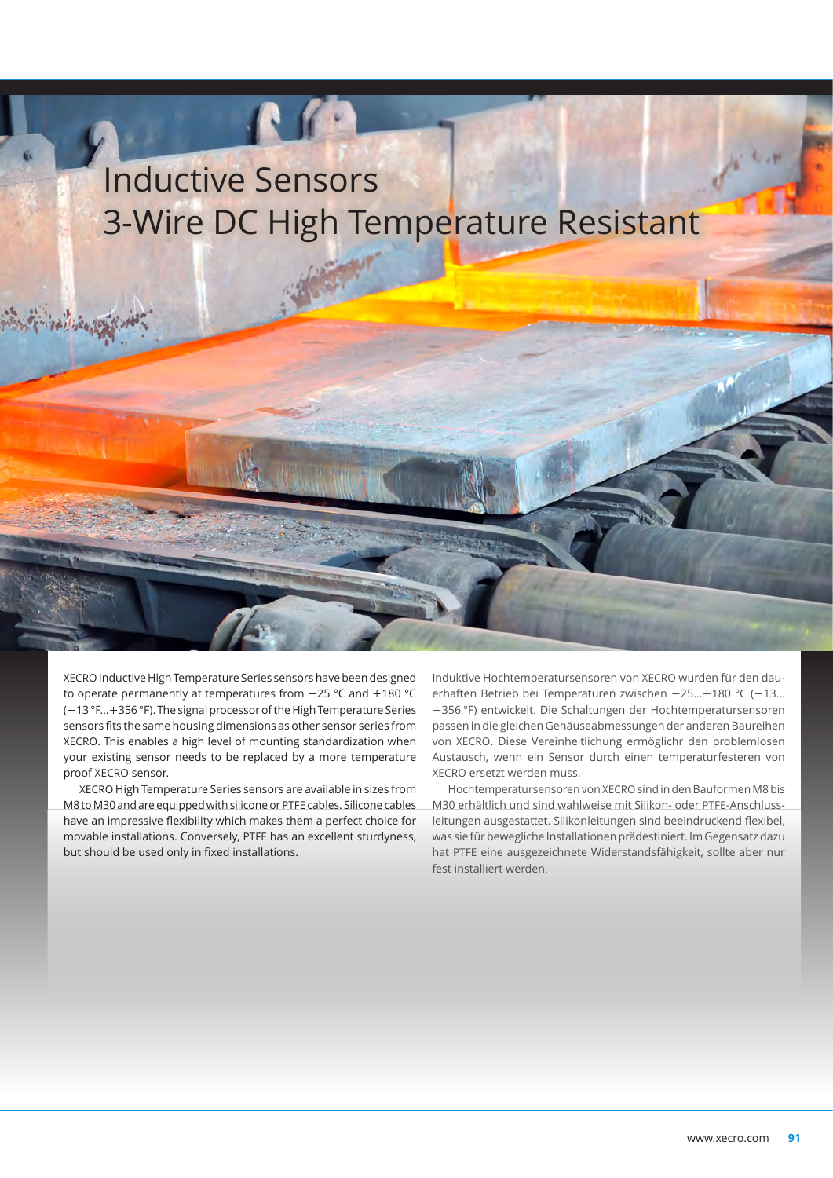# Inductive Sensors 3-Wire DC High Temperature Resistant

**R** 

XECRO Inductive High Temperature Series sensors have been designed to operate permanently at temperatures from −25 °C and +180 °C (−13 °F…+356 °F). The signal processor of the High Temperature Series sensors fits the same housing dimensions as other sensor series from XECRO. This enables a high level of mounting standardization when your existing sensor needs to be replaced by a more temperature proof XECRO sensor.

XECRO High Temperature Series sensors are available in sizes from M8 to M30 and are equipped with silicone or PTFE cables. Silicone cables have an impressive flexibility which makes them a perfect choice for movable installations. Conversely, PTFE has an excellent sturdyness, but should be used only in fixed installations.

Induktive Hochtemperatursensoren von XECRO wurden für den dauerhaften Betrieb bei Temperaturen zwischen −25…+180 °C (−13… +356 °F) entwickelt. Die Schaltungen der Hochtemperatursensoren passen in die gleichen Gehäuseabmessungen der anderen Baureihen von XECRO. Diese Vereinheitlichung ermöglichr den problemlosen Austausch, wenn ein Sensor durch einen temperaturfesteren von XECRO ersetzt werden muss.

Hochtemperatursensoren von XECRO sind in den Bauformen M8 bis M30 erhältlich und sind wahlweise mit Silikon- oder PTFE-Anschlussleitungen ausgestattet. Silikonleitungen sind beeindruckend flexibel, was sie für bewegliche Installationen prädestiniert. Im Gegensatz dazu hat PTFE eine ausgezeichnete Widerstandsfähigkeit, sollte aber nur fest installiert werden.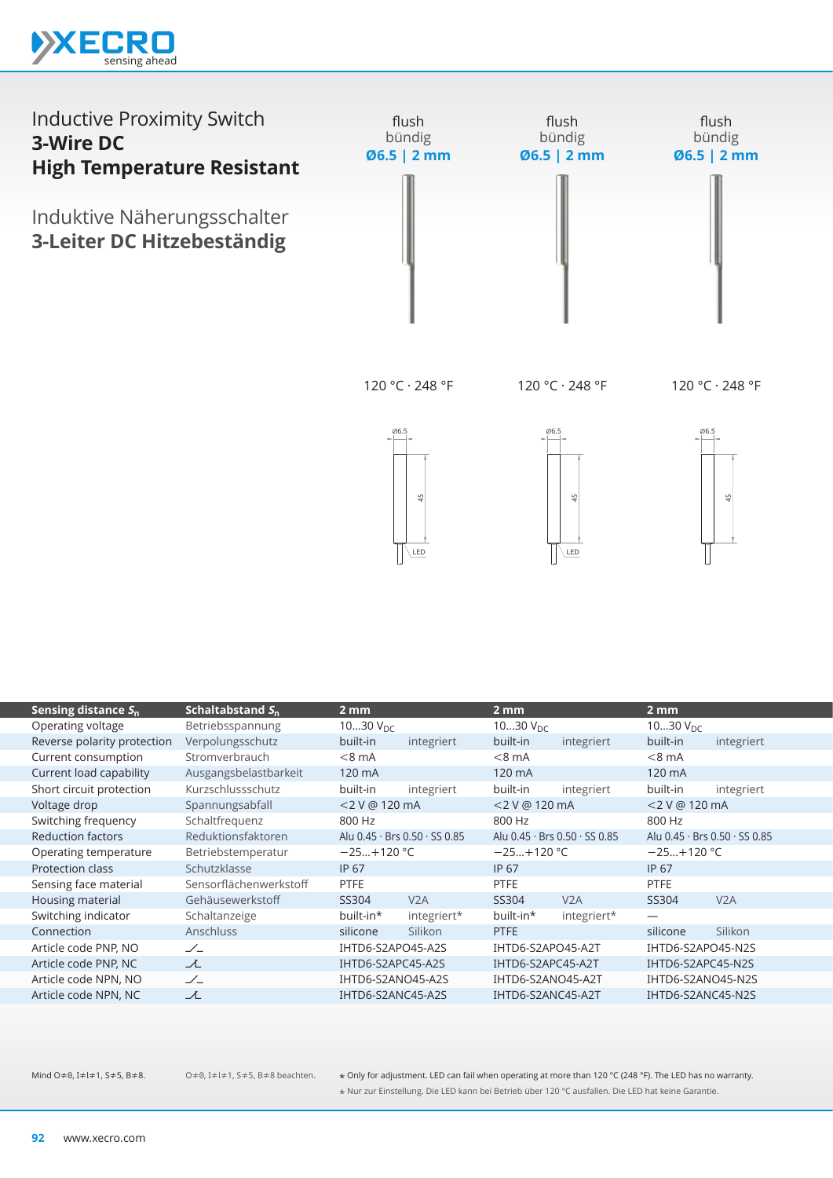



120 °C · 248 °F

120 °C · 248 °F

120 °C · 248 °F







|                                             |                        | 4<br>땋<br>LED<br>LED |                               |                   | ₩                             |                   |                               |
|---------------------------------------------|------------------------|----------------------|-------------------------------|-------------------|-------------------------------|-------------------|-------------------------------|
|                                             | Schaltabstand $S_n$    | $2 \, \text{mm}$     |                               | 2 <sub>mm</sub>   |                               | 2 <sub>mm</sub>   |                               |
| Sensing distance $S_n$<br>Operating voltage | Betriebsspannung       | 1030 $V_{DC}$        |                               | 1030 $V_{DC}$     |                               | 1030 $V_{DC}$     |                               |
| Reverse polarity protection                 | Verpolungsschutz       | built-in             | integriert                    | built-in          | integriert                    | built-in          | integriert                    |
| Current consumption                         | Stromverbrauch         | $< 8$ mA             |                               | $< 8$ mA          |                               | $< 8$ mA          |                               |
| Current load capability                     | Ausgangsbelastbarkeit  | 120 mA               |                               | 120 mA            |                               | 120 mA            |                               |
| Short circuit protection                    | Kurzschlussschutz      | built-in             | integriert                    | built-in          | integriert                    | built-in          | integriert                    |
| Voltage drop                                | Spannungsabfall        | <2 V @ 120 mA        |                               | <2 V @ 120 mA     |                               | <2 V @ 120 mA     |                               |
| Switching frequency                         | Schaltfrequenz         | 800 Hz               |                               | 800 Hz            |                               | 800 Hz            |                               |
| <b>Reduction factors</b>                    | Reduktionsfaktoren     |                      | Alu 0.45 · Brs 0.50 · SS 0.85 |                   | Alu 0.45 · Brs 0.50 · SS 0.85 |                   | Alu 0.45 · Brs 0.50 · SS 0.85 |
| Operating temperature                       | Betriebstemperatur     | $-25+120$ °C         |                               | $-25+120$ °C      |                               | $-25+120 °C$      |                               |
| Protection class                            | Schutzklasse           | IP 67                |                               | IP 67             |                               | IP 67             |                               |
| Sensing face material                       | Sensorflächenwerkstoff | PTFE                 |                               | <b>PTFE</b>       |                               | <b>PTFE</b>       |                               |
| Housing material                            | Gehäusewerkstoff       | SS304                | V2A                           | SS304             | V2A                           | SS304             | V2A                           |
| Switching indicator                         | Schaltanzeige          | built-in*            | integriert*                   | built-in*         | integriert*                   | —                 |                               |
| Connection                                  | Anschluss              | silicone             | Silikon                       | <b>PTFE</b>       |                               | silicone          | Silikon                       |
| Article code PNP, NO                        | $\angle$               | IHTD6-S2APO45-A2S    |                               | IHTD6-S2APO45-A2T |                               | IHTD6-S2APO45-N2S |                               |
| Article code PNP, NC                        | $\lambda$              | IHTD6-S2APC45-A2S    |                               | IHTD6-S2APC45-A2T |                               | IHTD6-S2APC45-N2S |                               |
| Article code NPN, NO                        | $\angle$               | IHTD6-S2ANO45-A2S    |                               | IHTD6-S2ANO45-A2T |                               | IHTD6-S2ANO45-N2S |                               |
| Article code NPN, NC                        | ᆺ                      | IHTD6-S2ANC45-A2S    |                               | IHTD6-S2ANC45-A2T |                               | IHTD6-S2ANC45-N2S |                               |
|                                             |                        |                      |                               |                   |                               |                   |                               |

O≠0, I≠l≠1, S≠5, B≠8 beachten.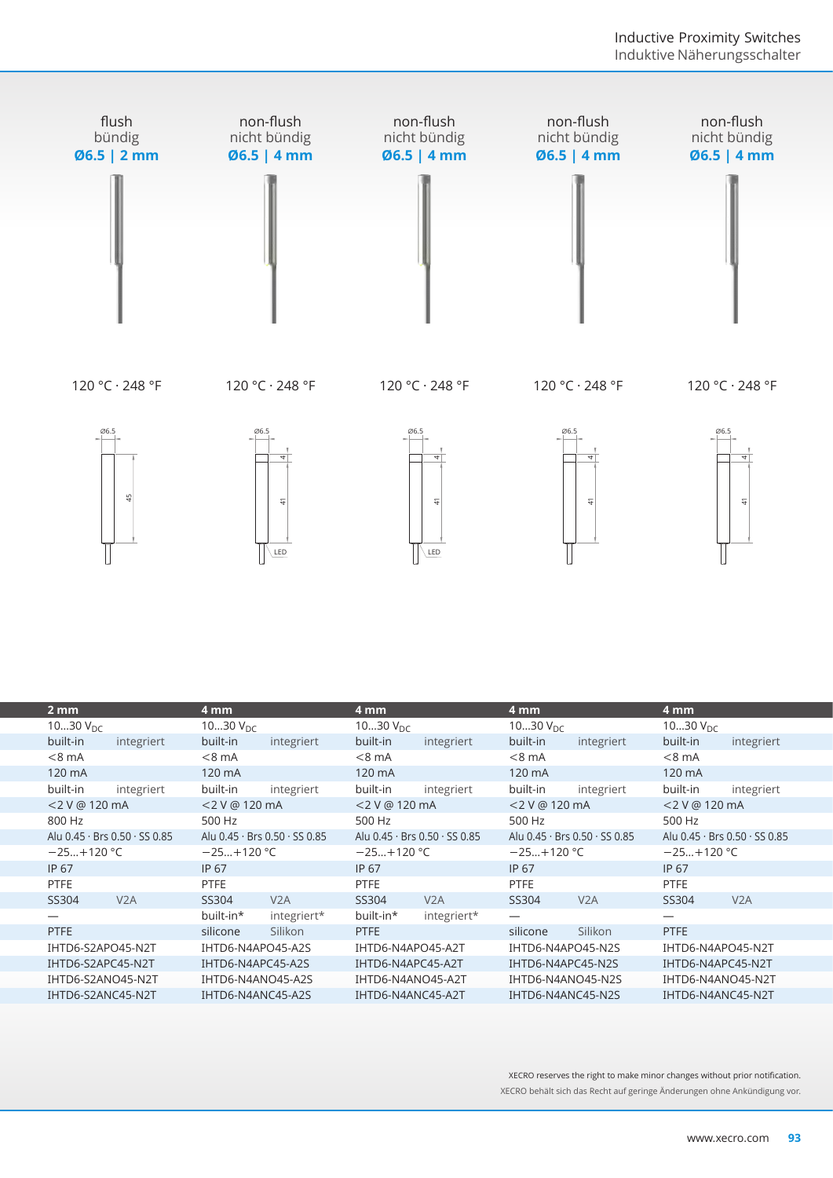

| 씊                             | 4<br>LED                      | $\frac{4}{5}$<br>LED          | 41                            | $\frac{4}{7}$                 |  |
|-------------------------------|-------------------------------|-------------------------------|-------------------------------|-------------------------------|--|
| 2 <sub>mm</sub>               | 4 mm                          | 4 mm                          | 4 mm                          | 4 mm                          |  |
| 1030 $V_{DC}$                 | 1030 $V_{\text{DC}}$          | 1030 $V_{DC}$                 | 1030 $V_{DC}$                 | 1030 $V_{DC}$                 |  |
| built-in<br>integriert        | built-in<br>integriert        | built-in<br>integriert        | built-in<br>integriert        | built-in<br>integriert        |  |
| $< 8$ mA                      | $< 8$ mA                      | $< 8$ mA                      | $< 8$ mA                      | $<8$ mA                       |  |
| 120 mA                        | 120 mA                        | 120 mA                        | 120 mA                        | 120 mA                        |  |
| built-in<br>integriert        | built-in<br>integriert        | built-in<br>integriert        | built-in<br>integriert        | built-in<br>integriert        |  |
| <2 V @ 120 mA                 | <2 V @ 120 mA                 | <2 V @ 120 mA                 | <2 V @ 120 mA                 | <2 V @ 120 mA                 |  |
| 800 Hz                        | 500 Hz                        | 500 Hz                        | 500 Hz                        | 500 Hz                        |  |
| Alu 0.45 · Brs 0.50 · SS 0.85 | Alu 0.45 · Brs 0.50 · SS 0.85 | Alu 0.45 · Brs 0.50 · SS 0.85 | Alu 0.45 · Brs 0.50 · SS 0.85 | Alu 0.45 · Brs 0.50 · SS 0.85 |  |
| $-25+120 °C$                  | $-25+120$ °C                  | $-25+120$ °C                  | $-25+120$ °C                  | $-25+120$ °C                  |  |
| IP 67                         | IP 67                         | <b>IP 67</b>                  | IP 67                         | IP 67                         |  |
| <b>PTFE</b>                   | <b>PTFE</b>                   | PTFE                          | PTFE                          | PTFE                          |  |
| V2A<br>SS304                  | V2A<br>SS304                  | SS304<br>V2A                  | SS304<br>V2A                  | V2A<br>SS304                  |  |
|                               | built-in*<br>integriert*      | built-in*<br>integriert*      |                               | $\overline{\phantom{0}}$      |  |
| <b>PTFE</b>                   | Silikon<br>silicone           | <b>PTFE</b>                   | Silikon<br>silicone           | <b>PTFE</b>                   |  |
| IHTD6-S2APO45-N2T             | IHTD6-N4APO45-A2S             | IHTD6-N4APO45-A2T             | IHTD6-N4APO45-N2S             | IHTD6-N4APO45-N2T             |  |
| IHTD6-S2APC45-N2T             | IHTD6-N4APC45-A2S             | IHTD6-N4APC45-A2T             | IHTD6-N4APC45-N2S             | IHTD6-N4APC45-N2T             |  |
| IHTD6-S2ANO45-N2T             | IHTD6-N4ANO45-A2S             | IHTD6-N4ANO45-A2T             | IHTD6-N4ANO45-N2S             | IHTD6-N4ANO45-N2T             |  |
| IHTD6-S2ANC45-N2T             | IHTD6-N4ANC45-A2S             | IHTD6-N4ANC45-A2T             | IHTD6-N4ANC45-N2S             | IHTD6-N4ANC45-N2T             |  |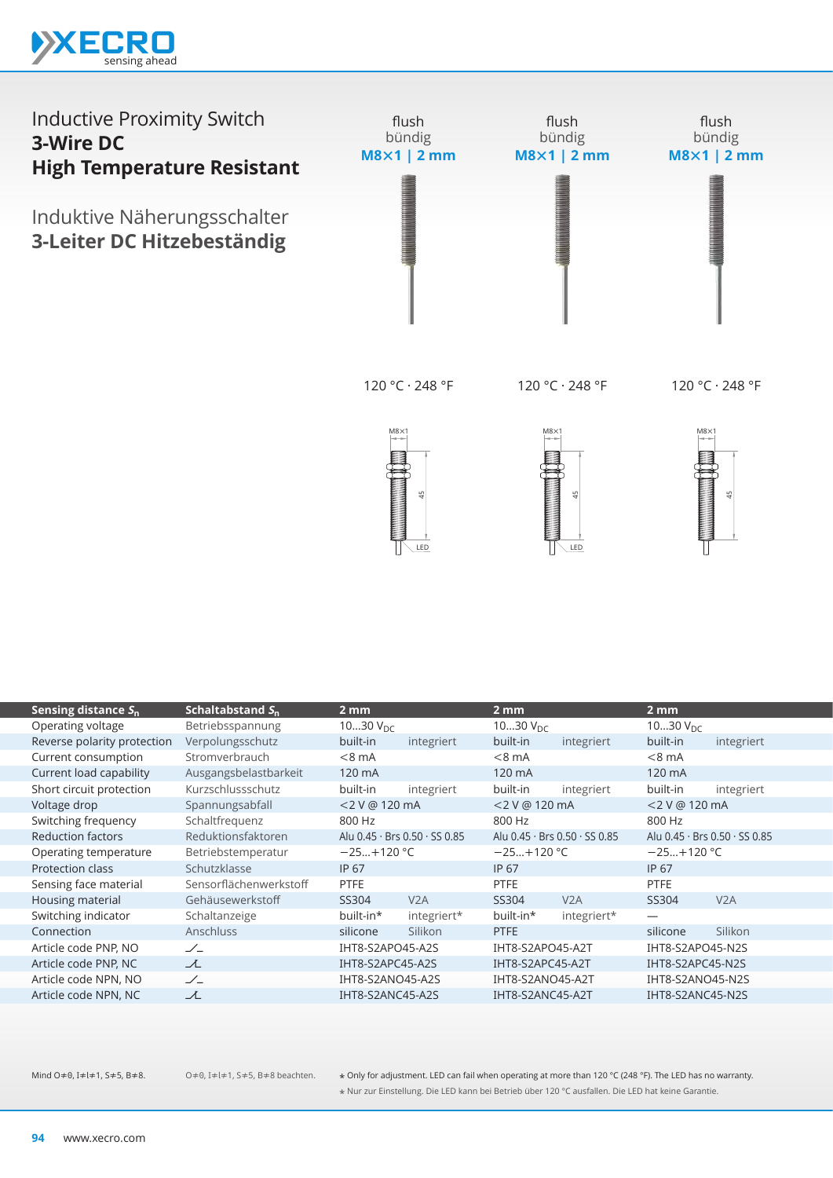



120 °C · 248 °F

120 °C · 248 °F

120 °C · 248 °F



M8×1 49 LED M8×1 45

| Sensing distance $S_{n}$    | Schaltabstand $S_n$    | $2 \, \text{mm}$     |                               | 2 <sub>mm</sub>                             |             | $2 \, \text{mm}$              |            |
|-----------------------------|------------------------|----------------------|-------------------------------|---------------------------------------------|-------------|-------------------------------|------------|
| Operating voltage           | Betriebsspannung       | 1030 $V_{\text{DC}}$ |                               | 1030 $V_{DC}$                               |             | 1030 $V_{\text{DC}}$          |            |
| Reverse polarity protection | Verpolungsschutz       | built-in             | integriert                    | built-in                                    | integriert  | built-in                      | integriert |
| Current consumption         | Stromverbrauch         | $< 8$ mA             |                               | $< 8$ mA                                    |             | $< 8$ mA                      |            |
| Current load capability     | Ausgangsbelastbarkeit  | 120 mA               |                               | 120 mA                                      |             | 120 mA                        |            |
| Short circuit protection    | Kurzschlussschutz      | built-in             | integriert                    | built-in                                    | integriert  | built-in                      | integriert |
| Voltage drop                | Spannungsabfall        | <2 V @ 120 mA        |                               | <2 V @ 120 mA                               |             | <2 V @ 120 mA                 |            |
| Switching frequency         | Schaltfrequenz         | 800 Hz               |                               | 800 Hz                                      |             | 800 Hz                        |            |
| <b>Reduction factors</b>    | Reduktionsfaktoren     |                      | Alu 0.45 · Brs 0.50 · SS 0.85 | Alu $0.45 \cdot$ Brs $0.50 \cdot$ SS $0.85$ |             | Alu 0.45 · Brs 0.50 · SS 0.85 |            |
| Operating temperature       | Betriebstemperatur     | $-25+120$ °C         |                               | $-25+120$ °C                                |             | $-25+120$ °C                  |            |
| Protection class            | Schutzklasse           | <b>IP 67</b>         |                               | <b>IP 67</b>                                |             | IP 67                         |            |
| Sensing face material       | Sensorflächenwerkstoff | <b>PTFE</b>          |                               | <b>PTFE</b>                                 |             | <b>PTFE</b>                   |            |
| Housing material            | Gehäusewerkstoff       | SS304                | V2A                           | SS304                                       | V2A         | SS304                         | V2A        |
| Switching indicator         | Schaltanzeige          | built-in*            | integriert*                   | built-in*                                   | integriert* |                               |            |
| Connection                  | <b>Anschluss</b>       | silicone             | Silikon                       | PTFE                                        |             | silicone                      | Silikon    |
| Article code PNP, NO        | $\angle$               | IHT8-S2APO45-A2S     |                               | IHT8-S2APO45-A2T                            |             | IHT8-S2APO45-N2S              |            |
| Article code PNP, NC        | 工                      | IHT8-S2APC45-A2S     |                               | IHT8-S2APC45-A2T                            |             | IHT8-S2APC45-N2S              |            |
| Article code NPN, NO        | $\angle$               | IHT8-S2ANO45-A2S     |                               | IHT8-S2ANO45-A2T                            |             | IHT8-S2ANO45-N2S              |            |
| Article code NPN, NC        | ᆺ                      | IHT8-S2ANC45-A2S     |                               | IHT8-S2ANC45-A2T                            |             | IHT8-S2ANC45-N2S              |            |
|                             |                        |                      |                               |                                             |             |                               |            |

O≠0, I≠l≠1, S≠5, B≠8 beachten.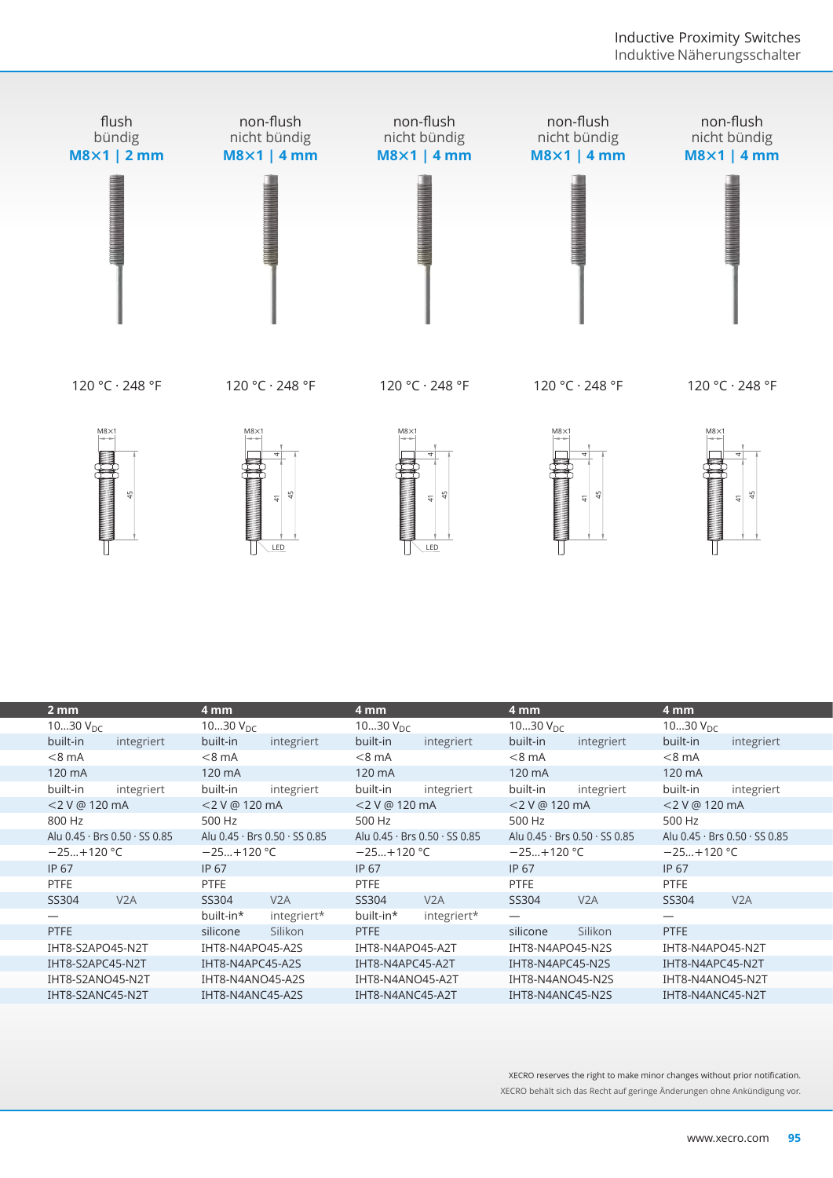

120 °C · 248 °F

120 °C · 248 °F

120 °C · 248 °F

120 °C · 248 °F

120 °C · 248 °F



M8×1 4<br>4 49 LED







| 2 <sub>mm</sub>               | 4 mm                          | 4 mm                          | 4 mm                          | 4 mm                          |
|-------------------------------|-------------------------------|-------------------------------|-------------------------------|-------------------------------|
| 1030 $V_{\text{DC}}$          | 1030 $V_{DC}$                 | 1030 $V_{DC}$                 | 1030 $V_{DC}$                 | 1030 $V_{DC}$                 |
| built-in<br>integriert        | built-in<br>integriert        | built-in<br>integriert        | built-in<br>integriert        | built-in<br>integriert        |
| $< 8$ mA                      | $< 8$ mA                      | $< 8$ mA                      | $< 8$ mA                      | $< 8$ mA                      |
| 120 mA                        | 120 mA                        | 120 mA                        | 120 mA                        | 120 mA                        |
| built-in<br>integriert        | built-in<br>integriert        | built-in<br>integriert        | built-in<br>integriert        | built-in<br>integriert        |
| <2 V @ 120 mA                 | <2 V @ 120 mA                 | <2 V @ 120 mA                 | <2 V @ 120 mA                 | <2 V @ 120 mA                 |
| 800 Hz                        | 500 Hz                        | 500 Hz                        | 500 Hz                        | 500 Hz                        |
| Alu 0.45 · Brs 0.50 · SS 0.85 | Alu 0.45 · Brs 0.50 · SS 0.85 | Alu 0.45 · Brs 0.50 · SS 0.85 | Alu 0.45 · Brs 0.50 · SS 0.85 | Alu 0.45 · Brs 0.50 · SS 0.85 |
| $-25+120$ °C                  | $-25+120$ °C                  | $-25+120$ °C                  | $-25+120$ °C                  | $-25+120$ °C                  |
| <b>IP 67</b>                  | IP 67                         | IP 67                         | <b>IP 67</b>                  | IP 67                         |
| <b>PTFE</b>                   | <b>PTFE</b>                   | <b>PTFE</b>                   | <b>PTFE</b>                   | <b>PTFE</b>                   |
| SS304<br>V2A                  | SS304<br>V2A                  | SS304<br>V2A                  | SS304<br>V2A                  | SS304<br>V2A                  |
|                               | integriert*<br>built-in*      | built-in*<br>integriert*      | $\overline{\phantom{0}}$      |                               |
| <b>PTFE</b>                   | Silikon<br>silicone           | <b>PTFE</b>                   | silicone<br>Silikon           | PTFE                          |
| IHT8-S2APO45-N2T              | IHT8-N4APO45-A2S              | IHT8-N4APO45-A2T              | IHT8-N4APO45-N2S              | IHT8-N4APO45-N2T              |
| IHT8-S2APC45-N2T              | IHT8-N4APC45-A2S              | IHT8-N4APC45-A2T              | IHT8-N4APC45-N2S              | IHT8-N4APC45-N2T              |
| IHT8-S2ANO45-N2T              | IHT8-N4ANO45-A2S              | IHT8-N4ANO45-A2T              | IHT8-N4ANO45-N2S              | IHT8-N4ANO45-N2T              |
| IHT8-S2ANC45-N2T              | IHT8-N4ANC45-A2S              | IHT8-N4ANC45-A2T              | IHT8-N4ANC45-N2S              | IHT8-N4ANC45-N2T              |
|                               |                               |                               |                               |                               |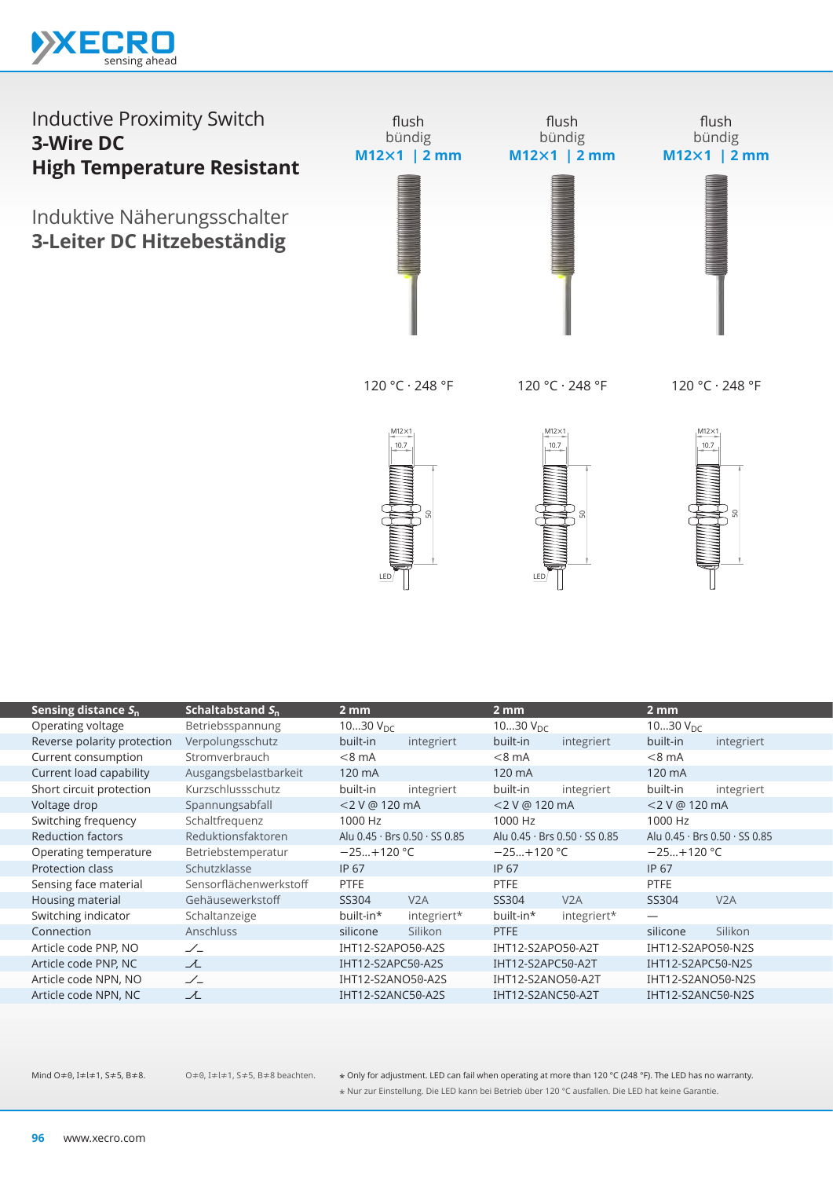

#### Inductive Proximity Switch **3-Wire DC High Temperature Resistant** Induktive Näherungsschalter **3-Leiter DC Hitzebeständig** flush bündig **M12×1 | 2 mm** flush bündig **M12×1 | 2 mm** flush bündig **M12×1 | 2 mm**

120 °C · 248 °F

120 °C · 248 °F

120 °C · 248 °F







|                             |                        | LED               |                               | LED               |                               |                   |                               |
|-----------------------------|------------------------|-------------------|-------------------------------|-------------------|-------------------------------|-------------------|-------------------------------|
| Sensing distance $S_n$      | Schaltabstand $S_n$    | $2 \,\mathrm{mm}$ |                               | 2 <sub>mm</sub>   |                               | 2 <sub>mm</sub>   |                               |
| Operating voltage           | Betriebsspannung       | 1030 $V_{DC}$     |                               | 1030 $V_{DC}$     |                               | 1030 $V_{DC}$     |                               |
| Reverse polarity protection | Verpolungsschutz       | built-in          | integriert                    | built-in          | integriert                    | built-in          | integriert                    |
| Current consumption         | Stromverbrauch         | $< 8$ mA          |                               | $< 8$ mA          |                               | $< 8$ mA          |                               |
| Current load capability     | Ausgangsbelastbarkeit  | 120 mA            |                               | 120 mA            |                               | 120 mA            |                               |
| Short circuit protection    | Kurzschlussschutz      | built-in          | integriert                    | built-in          | integriert                    | built-in          | integriert                    |
| Voltage drop                | Spannungsabfall        | <2 V @ 120 mA     |                               | <2 V @ 120 mA     |                               | <2 V @ 120 mA     |                               |
| Switching frequency         | Schaltfrequenz         | 1000 Hz           |                               | 1000 Hz           |                               | 1000 Hz           |                               |
| <b>Reduction factors</b>    | Reduktionsfaktoren     |                   | Alu 0.45 · Brs 0.50 · SS 0.85 |                   | Alu 0.45 · Brs 0.50 · SS 0.85 |                   | Alu 0.45 · Brs 0.50 · SS 0.85 |
| Operating temperature       | Betriebstemperatur     | $-25+120$ °C      |                               | $-25+120 °C$      |                               | $-25+120$ °C      |                               |
| Protection class            | Schutzklasse           | <b>IP 67</b>      |                               | IP 67             |                               | IP 67             |                               |
| Sensing face material       | Sensorflächenwerkstoff | <b>PTFE</b>       |                               | PTFE              |                               | <b>PTFE</b>       |                               |
| Housing material            | Gehäusewerkstoff       | SS304             | V2A                           | SS304             | V2A                           | SS304             | V2A                           |
| Switching indicator         | Schaltanzeige          | built-in*         | integriert*                   | built-in*         | integriert*                   |                   |                               |
| Connection                  | Anschluss              | silicone          | Silikon                       | <b>PTFE</b>       |                               | silicone          | Silikon                       |
| Article code PNP, NO        | $\angle$               | IHT12-S2APO50-A2S |                               | IHT12-S2APO50-A2T |                               | IHT12-S2APO50-N2S |                               |
| Article code PNP, NC        | ᆺ                      | IHT12-S2APC50-A2S |                               | IHT12-S2APC50-A2T |                               | IHT12-S2APC50-N2S |                               |
| Article code NPN, NO        | $\angle$               | IHT12-S2ANO50-A2S |                               | IHT12-S2ANO50-A2T |                               | IHT12-S2ANO50-N2S |                               |
| Article code NPN, NC        | ズ                      | IHT12-S2ANC50-A2S |                               | IHT12-S2ANC50-A2T |                               | IHT12-S2ANC50-N2S |                               |
|                             |                        |                   |                               |                   |                               |                   |                               |

O≠0, I≠l≠1, S≠5, B≠8 beachten.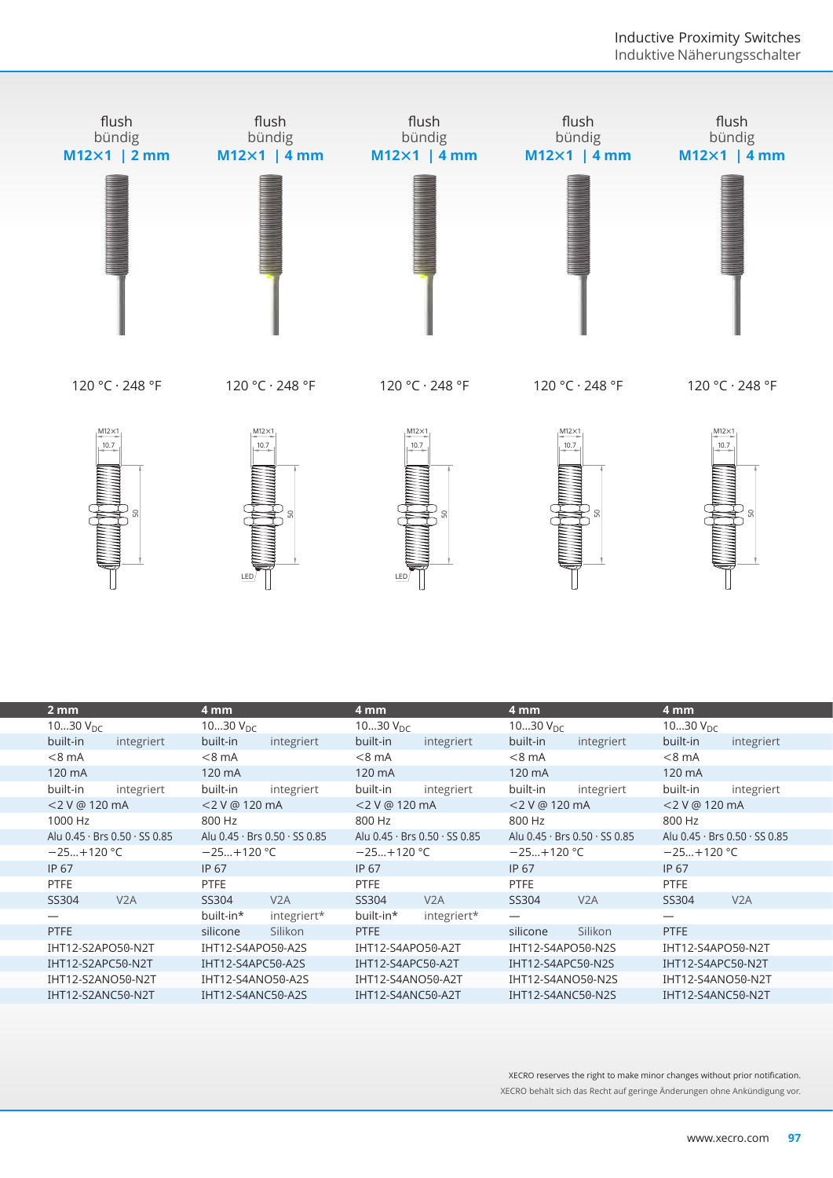



120 °C · 248 °F

 $M12\times1$ 

 $10.7$ 

120 °C · 248 °F

120 °C · 248 °F

120 °C · 248 °F







|                               | LED                           | LED                           |                               |                               |
|-------------------------------|-------------------------------|-------------------------------|-------------------------------|-------------------------------|
| 2 <sub>mm</sub>               | 4 mm                          | 4 mm                          | 4 mm                          | 4 mm                          |
| 1030 $V_{DC}$                 | 1030 $V_{DC}$                 | 1030 $V_{DC}$                 | 1030 $V_{DC}$                 | 1030 $V_{DC}$                 |
| built-in<br>integriert        | built-in<br>integriert        | built-in<br>integriert        | built-in<br>integriert        | built-in<br>integriert        |
| $< 8$ mA                      | $< 8$ mA                      | $< 8$ mA                      | $< 8$ mA                      | $< 8$ mA                      |
| 120 mA                        | 120 mA                        | 120 mA                        | 120 mA                        | 120 mA                        |
| built-in<br>integriert        | built-in<br>integriert        | built-in<br>integriert        | built-in<br>integriert        | built-in<br>integriert        |
| <2 V @ 120 mA                 | <2 V @ 120 mA                 | <2 V @ 120 mA                 | <2 V @ 120 mA                 | <2 V @ 120 mA                 |
| 1000 Hz                       | 800 Hz                        | 800 Hz                        | 800 Hz                        | 800 Hz                        |
| Alu 0.45 · Brs 0.50 · SS 0.85 | Alu 0.45 · Brs 0.50 · SS 0.85 | Alu 0.45 · Brs 0.50 · SS 0.85 | Alu 0.45 · Brs 0.50 · SS 0.85 | Alu 0.45 · Brs 0.50 · SS 0.85 |
| $-25+120 °C$                  | $-25+120$ °C                  | $-25+120$ °C                  | $-25+120$ °C                  | $-25+120$ °C                  |
| IP 67                         | IP 67                         | <b>IP 67</b>                  | IP 67                         | IP 67                         |
| <b>PTFE</b>                   | <b>PTFE</b>                   | <b>PTFE</b>                   | <b>PTFE</b>                   | <b>PTFE</b>                   |
| SS304<br>V <sub>2</sub> A     | V2A<br>SS304                  | SS304<br>V2A                  | SS304<br>V2A                  | SS304<br>V2A                  |
| $\overline{\phantom{0}}$      | built-in*<br>integriert*      | built-in*<br>integriert*      |                               |                               |
| <b>PTFE</b>                   | Silikon<br>silicone           | <b>PTFE</b>                   | Silikon<br>silicone           | <b>PTFE</b>                   |
| IHT12-S2APO50-N2T             | IHT12-S4APO50-A2S             | IHT12-S4APO50-A2T             | IHT12-S4APO50-N2S             | IHT12-S4APO50-N2T             |
| IHT12-S2APC50-N2T             | IHT12-S4APC50-A2S             | IHT12-S4APC50-A2T             | IHT12-S4APC50-N2S             | IHT12-S4APC50-N2T             |
| IHT12-S2ANO50-N2T             | IHT12-S4ANO50-A2S             | IHT12-S4ANO50-A2T             | IHT12-S4ANO50-N2S             | IHT12-S4ANO50-N2T             |
| IHT12-S2ANC50-N2T             | IHT12-S4ANC50-A2S             | IHT12-S4ANC50-A2T             | IHT12-S4ANC50-N2S             | IHT12-S4ANC50-N2T             |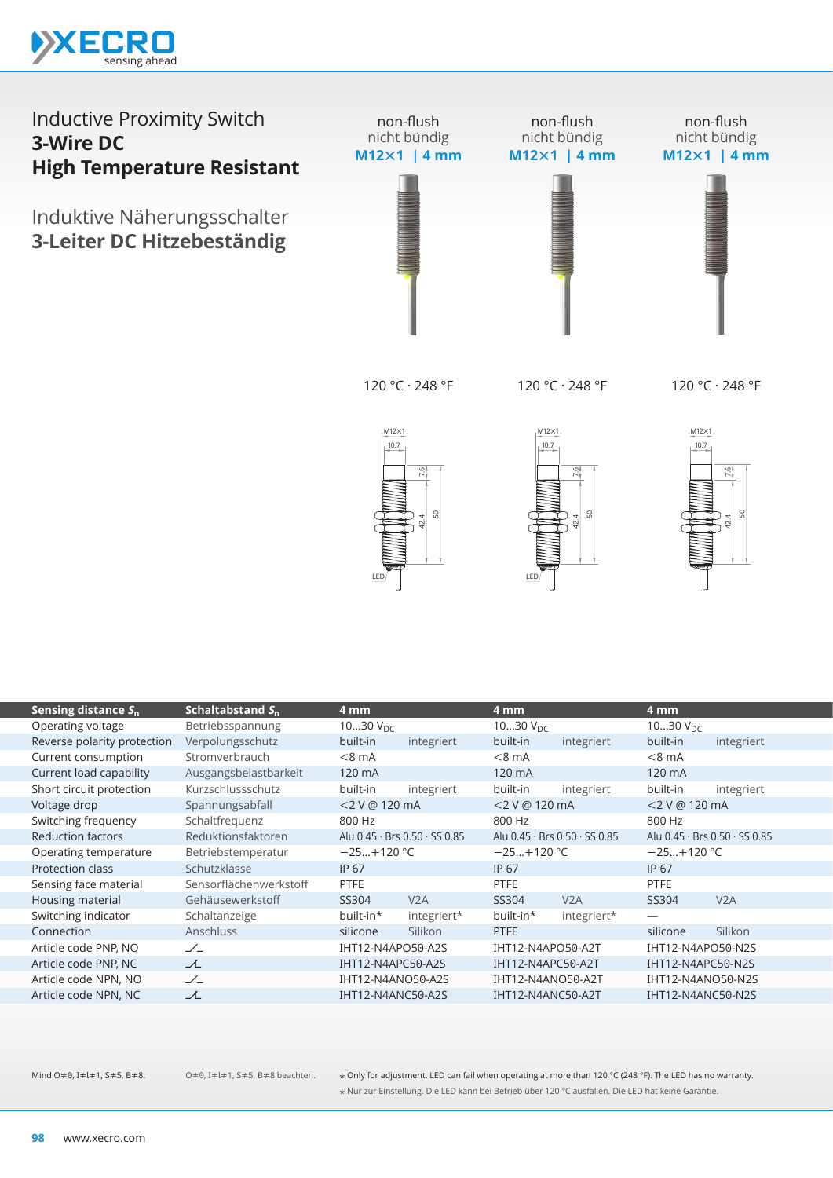

#### Inductive Proximity Switch **3-Wire DC High Temperature Resistant** Induktive Näherungsschalter **3-Leiter DC Hitzebeständig** non-flush nicht bündig **M12×1 | 4 mm** non-flush nicht bündig **M12×1 | 4 mm** non-flush nicht bündig **M12×1 | 4 mm**

120 °C · 248 °F

120 °C · 248 °F

120 °C · 248 °F





 $10.7$  $M12\times1$ 7.6

|                             |                        | LED               | SO<br>42.4                    | LED               | SO,<br>42.4                   |                   | s                             |  |
|-----------------------------|------------------------|-------------------|-------------------------------|-------------------|-------------------------------|-------------------|-------------------------------|--|
| Sensing distance $S_n$      | Schaltabstand $S_n$    | 4 mm              |                               | 4 mm              |                               | 4 <sub>mm</sub>   |                               |  |
| Operating voltage           | Betriebsspannung       | 1030 $V_{DC}$     |                               | 1030 $V_{DC}$     |                               | 1030 $V_{DC}$     |                               |  |
| Reverse polarity protection | Verpolungsschutz       | built-in          | integriert                    | built-in          | integriert                    | built-in          | integriert                    |  |
| Current consumption         | Stromverbrauch         | $< 8$ mA          |                               | $< 8$ mA          |                               | $< 8$ mA          |                               |  |
| Current load capability     | Ausgangsbelastbarkeit  | 120 mA            |                               | 120 mA            |                               | 120 mA            |                               |  |
| Short circuit protection    | Kurzschlussschutz      | built-in          | integriert                    | built-in          | integriert                    | built-in          | integriert                    |  |
| Voltage drop                | Spannungsabfall        | <2 V @ 120 mA     |                               | <2 V @ 120 mA     |                               | <2 V @ 120 mA     |                               |  |
| Switching frequency         | Schaltfrequenz         | 800 Hz            |                               | 800 Hz            |                               | 800 Hz            |                               |  |
| <b>Reduction factors</b>    | Reduktionsfaktoren     |                   | Alu 0.45 · Brs 0.50 · SS 0.85 |                   | Alu 0.45 · Brs 0.50 · SS 0.85 |                   | Alu 0.45 · Brs 0.50 · SS 0.85 |  |
| Operating temperature       | Betriebstemperatur     | $-25+120$ °C      |                               | $-25+120$ °C      |                               | $-25+120$ °C      |                               |  |
| Protection class            | Schutzklasse           | <b>IP 67</b>      |                               | <b>IP 67</b>      |                               | IP 67             |                               |  |
| Sensing face material       | Sensorflächenwerkstoff | PTFE              |                               | <b>PTFE</b>       |                               | <b>PTFE</b>       |                               |  |
| Housing material            | Gehäusewerkstoff       | SS304             | V2A                           | SS304             | V2A                           | SS304             | V2A                           |  |
| Switching indicator         | Schaltanzeige          | built-in*         | integriert*                   | built-in*         | integriert*                   |                   |                               |  |
| Connection                  | Anschluss              | silicone          | Silikon                       | <b>PTFE</b>       |                               | silicone          | Silikon                       |  |
| Article code PNP, NO        | $\angle$               | IHT12-N4APO50-A2S |                               | IHT12-N4APO50-A2T |                               | IHT12-N4APO50-N2S |                               |  |
| Article code PNP, NC        | $\lambda$              | IHT12-N4APC50-A2S |                               | IHT12-N4APC50-A2T |                               | IHT12-N4APC50-N2S |                               |  |
| Article code NPN, NO        | $\angle$               | IHT12-N4ANO50-A2S |                               |                   | IHT12-N4ANO50-A2T             |                   | IHT12-N4ANO50-N2S             |  |
| Article code NPN, NC        | ズ                      | IHT12-N4ANC50-A2S |                               | IHT12-N4ANC50-A2T |                               | IHT12-N4ANC50-N2S |                               |  |
|                             |                        |                   |                               |                   |                               |                   |                               |  |

O≠0, I≠l≠1, S≠5, B≠8 beachten.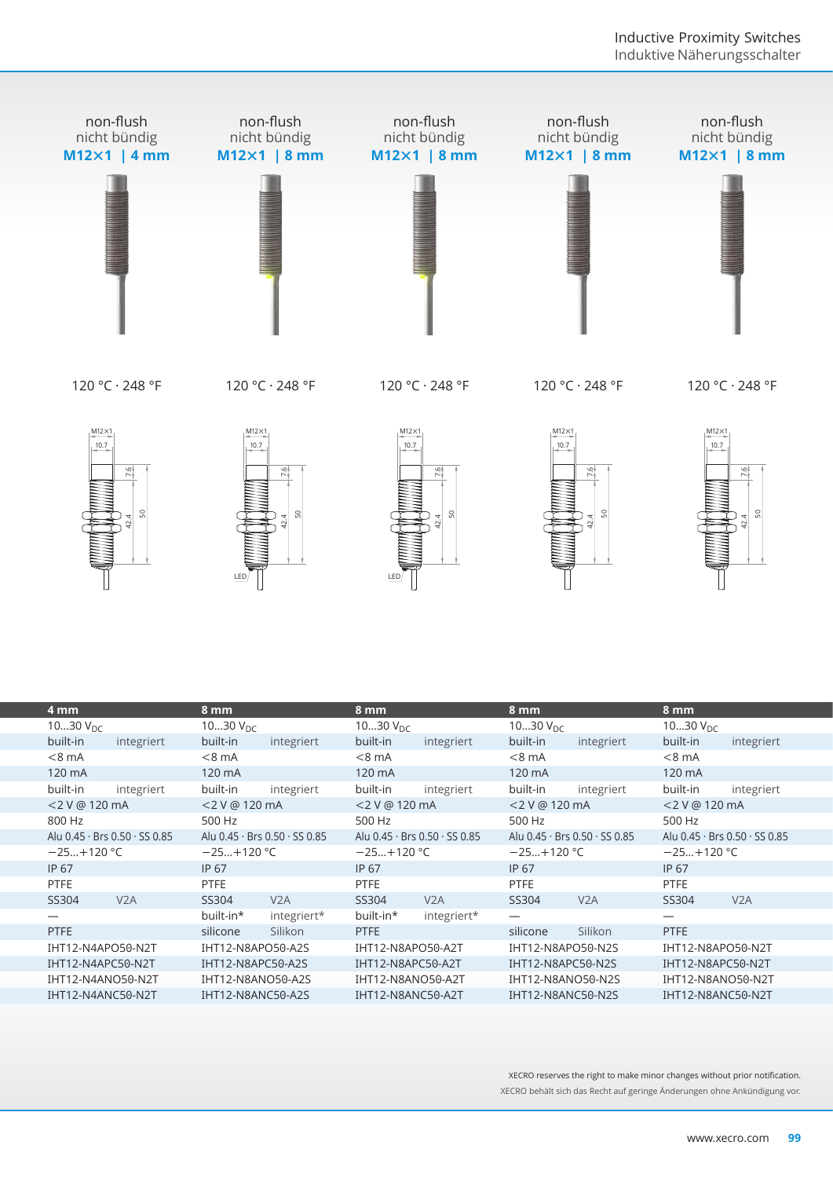

|                      | s                             | LED                  | SO                            | LED                  | ူ<br>42.4                     |                   | s.<br>42.4                    |                   | s.<br>42.4                    |  |
|----------------------|-------------------------------|----------------------|-------------------------------|----------------------|-------------------------------|-------------------|-------------------------------|-------------------|-------------------------------|--|
| 4 mm                 |                               | 8 mm                 |                               | 8 mm                 |                               | 8 mm              |                               | 8 mm              |                               |  |
| 1030 $V_{\text{DC}}$ |                               | 1030 $V_{\text{DC}}$ |                               | 1030 $V_{\text{DC}}$ |                               | 1030 $V_{DC}$     |                               | 1030 $V_{DC}$     |                               |  |
| built-in             | integriert                    | built-in             | integriert                    | built-in             | integriert                    | built-in          | integriert                    | built-in          | integriert                    |  |
| $< 8$ mA             |                               | $< 8$ mA             |                               | $< 8$ mA             |                               | $< 8$ mA          |                               | $< 8$ mA          |                               |  |
| 120 mA               |                               | 120 mA               |                               | 120 mA               |                               | 120 mA            |                               | 120 mA            |                               |  |
| built-in             | integriert                    | built-in             | integriert                    | built-in             | integriert                    | built-in          | integriert                    | built-in          | integriert                    |  |
| <2 V @ 120 mA        |                               | <2 V @ 120 mA        |                               | <2 V @ 120 mA        |                               | <2 V @ 120 mA     |                               | <2 V @ 120 mA     |                               |  |
| 800 Hz               |                               | 500 Hz               |                               | 500 Hz               |                               | 500 Hz            |                               | 500 Hz            |                               |  |
|                      | Alu 0.45 · Brs 0.50 · SS 0.85 |                      | Alu 0.45 · Brs 0.50 · SS 0.85 |                      | Alu 0.45 · Brs 0.50 · SS 0.85 |                   | Alu 0.45 · Brs 0.50 · SS 0.85 |                   | Alu 0.45 · Brs 0.50 · SS 0.85 |  |
| $-25+120 °C$         |                               | $-25+120$ °C         |                               | $-25+120$ °C         |                               | $-25+120$ °C      |                               | $-25+120 °C$      |                               |  |
| <b>IP 67</b>         |                               | IP 67                |                               | <b>IP 67</b>         |                               | <b>IP 67</b>      |                               | IP 67             |                               |  |
| PTFE                 |                               | <b>PTFE</b>          |                               | <b>PTFE</b>          |                               | PTFE              |                               | PTFE              |                               |  |
| SS304                | V2A                           | SS304                | V2A                           | SS304                | V2A                           | SS304             | V2A                           | SS304             | V <sub>2</sub> A              |  |
|                      |                               | built-in*            | integriert*                   | built-in*            | integriert*                   |                   |                               |                   |                               |  |
| <b>PTFE</b>          |                               | silicone             | Silikon                       | <b>PTFE</b>          |                               | silicone          | Silikon                       | <b>PTFE</b>       |                               |  |
| IHT12-N4APO50-N2T    |                               | IHT12-N8APO50-A2S    |                               | IHT12-N8APO50-A2T    |                               | IHT12-N8APO50-N2S |                               |                   | IHT12-N8APO50-N2T             |  |
| IHT12-N4APC50-N2T    |                               | IHT12-N8APC50-A2S    |                               | IHT12-N8APC50-A2T    |                               | IHT12-N8APC50-N2S |                               | IHT12-N8APC50-N2T |                               |  |
| IHT12-N4ANO50-N2T    |                               | IHT12-N8ANO50-A2S    |                               | IHT12-N8ANO50-A2T    |                               |                   | IHT12-N8ANO50-N2S             |                   | IHT12-N8ANO50-N2T             |  |
| IHT12-N4ANC50-N2T    |                               | IHT12-N8ANC50-A2S    |                               | IHT12-N8ANC50-A2T    |                               | IHT12-N8ANC50-N2S |                               |                   | IHT12-N8ANC50-N2T             |  |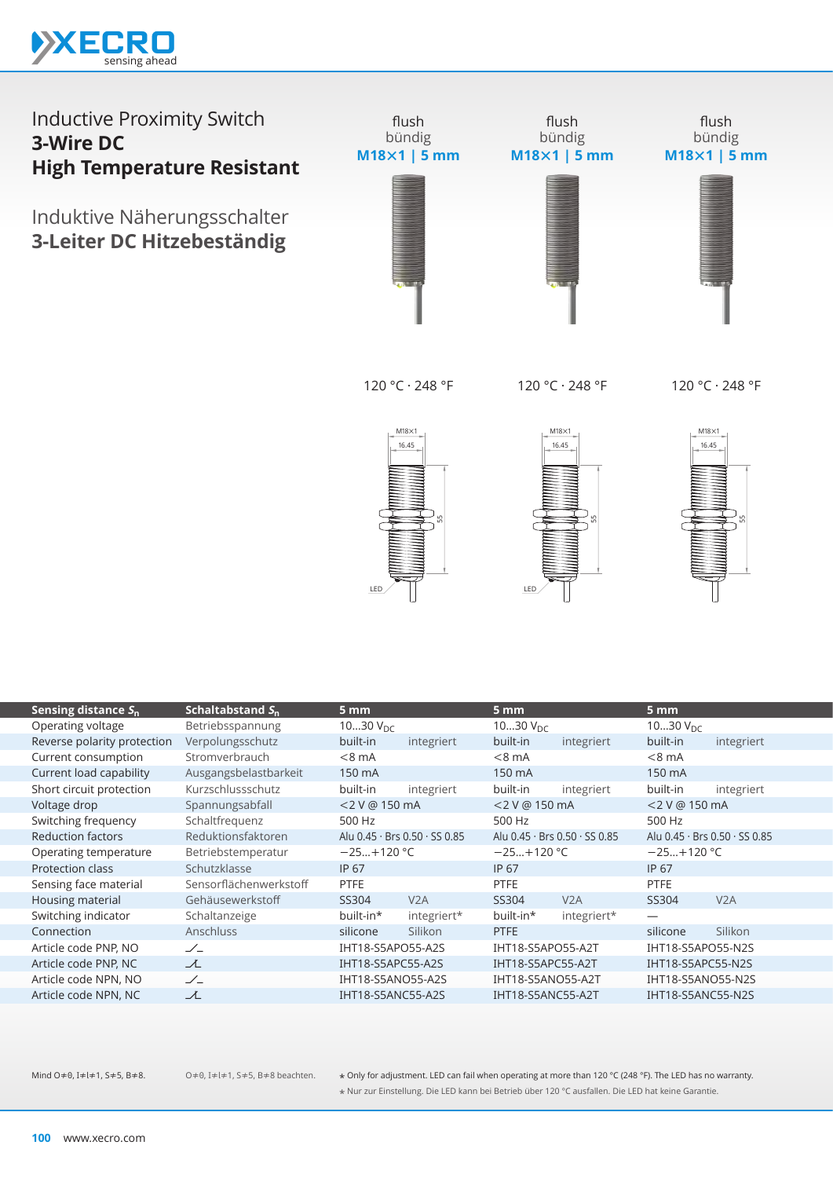

Induktive Näherungsschalter **3-Leiter DC Hitzebeständig**



120 °C · 248 °F

120 °C · 248 °F

120 °C · 248 °F







| Sensing distance $S_n$      | Schaltabstand $S_n$    | 5 mm              |                               | 5 mm                 |                               | 5 mm                 |                               |
|-----------------------------|------------------------|-------------------|-------------------------------|----------------------|-------------------------------|----------------------|-------------------------------|
| Operating voltage           | Betriebsspannung       | 1030 $V_{DC}$     |                               | 1030 $V_{\text{DC}}$ |                               | 1030 $V_{\text{DC}}$ |                               |
| Reverse polarity protection | Verpolungsschutz       | built-in          | integriert                    | built-in             | integriert                    | built-in             | integriert                    |
| Current consumption         | Stromverbrauch         | $< 8$ mA          |                               | $< 8$ mA             |                               | $< 8$ mA             |                               |
| Current load capability     | Ausgangsbelastbarkeit  | 150 mA            |                               | 150 mA               |                               | 150 mA               |                               |
| Short circuit protection    | Kurzschlussschutz      | built-in          | integriert                    | built-in             | integriert                    | built-in             | integriert                    |
| Voltage drop                | Spannungsabfall        | $<$ 2 V @ 150 mA  |                               | <2 V @ 150 mA        |                               | $<$ 2 V @ 150 mA     |                               |
| Switching frequency         | Schaltfrequenz         | 500 Hz            |                               | 500 Hz               |                               | 500 Hz               |                               |
| <b>Reduction factors</b>    | Reduktionsfaktoren     |                   | Alu 0.45 · Brs 0.50 · SS 0.85 |                      | Alu 0.45 · Brs 0.50 · SS 0.85 |                      | Alu 0.45 · Brs 0.50 · SS 0.85 |
| Operating temperature       | Betriebstemperatur     | $-25+120$ °C      |                               | $-25+120$ °C         |                               | $-25+120$ °C         |                               |
| <b>Protection class</b>     | Schutzklasse           | IP 67             |                               | IP 67                |                               | IP 67                |                               |
| Sensing face material       | Sensorflächenwerkstoff | <b>PTFE</b>       |                               | <b>PTFE</b>          |                               | <b>PTFE</b>          |                               |
| Housing material            | Gehäusewerkstoff       | SS304             | V2A                           | SS304                | V2A                           | SS304                | V2A                           |
| Switching indicator         | Schaltanzeige          | built-in*         | integriert*                   | built-in*            | integriert*                   |                      |                               |
| Connection                  | <b>Anschluss</b>       | silicone          | Silikon                       | PTFE                 |                               | silicone             | Silikon                       |
| Article code PNP, NO        | $\angle$               | IHT18-S5APO55-A2S |                               | IHT18-S5APO55-A2T    |                               | IHT18-S5APO55-N2S    |                               |
| Article code PNP, NC        | ᅩ                      | IHT18-S5APC55-A2S |                               | IHT18-S5APC55-A2T    |                               | IHT18-S5APC55-N2S    |                               |
| Article code NPN, NO        | $\angle$               | IHT18-S5ANO55-A2S |                               | IHT18-S5ANO55-A2T    |                               | IHT18-S5ANO55-N2S    |                               |
| Article code NPN, NC        | 工                      | IHT18-S5ANC55-A2S |                               | IHT18-S5ANC55-A2T    |                               | IHT18-S5ANC55-N2S    |                               |
|                             |                        |                   |                               |                      |                               |                      |                               |

O≠0, I≠l≠1, S≠5, B≠8 beachten.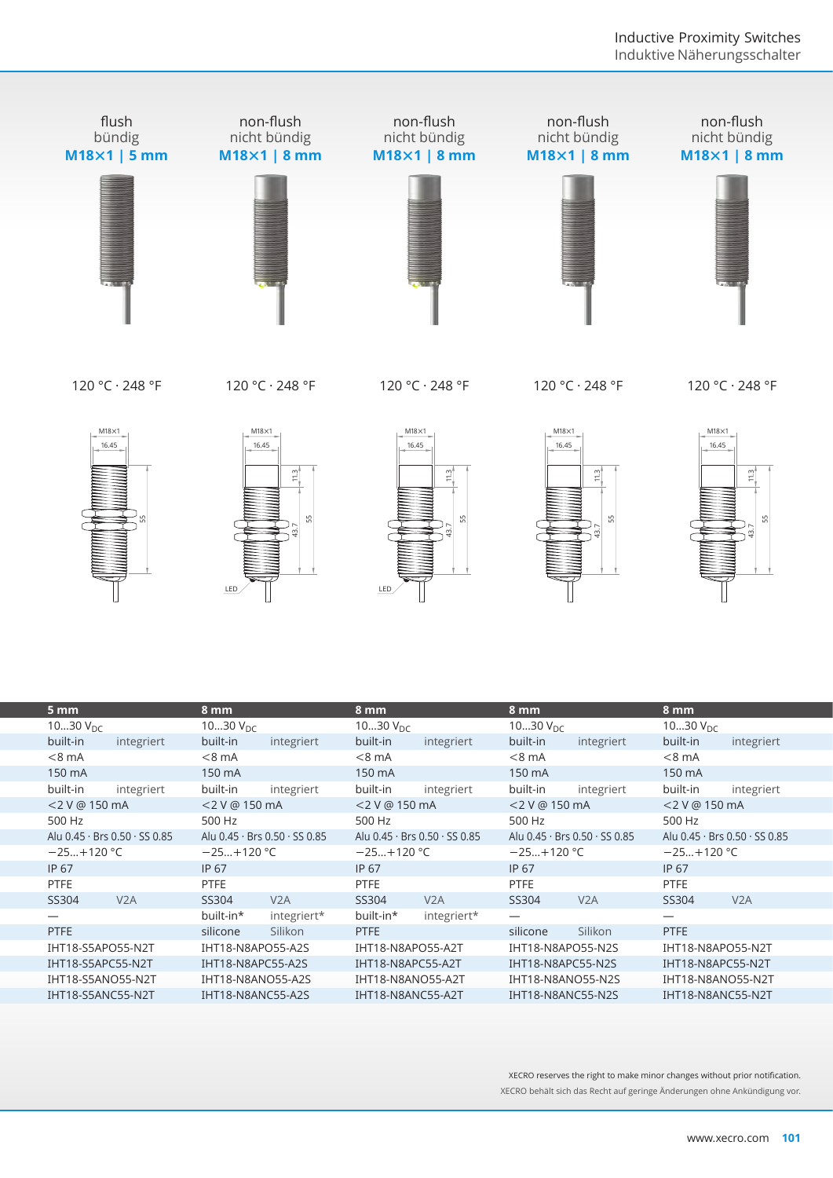

120 °C · 248 °F

120 °C · 248 °F

120 °C · 248 °F

120 °C · 248 °F

120 °C · 248 °F











|                               | LED                           | s.<br>LED                     | s.                            |                               |
|-------------------------------|-------------------------------|-------------------------------|-------------------------------|-------------------------------|
| 5 mm<br>1030 $V_{DC}$         | 8 mm<br>1030 $V_{DC}$         | 8 mm<br>1030 $V_{DC}$         | 8 mm<br>1030 $V_{DC}$         | 8 mm<br>1030 $V_{DC}$         |
| built-in<br>integriert        | built-in<br>integriert        | built-in<br>integriert        | built-in<br>integriert        | built-in<br>integriert        |
| $< 8$ mA                      | $< 8$ mA                      | $< 8$ mA                      | $< 8$ mA                      | $< 8$ mA                      |
| 150 mA                        | 150 mA                        | 150 mA                        | 150 mA                        | 150 mA                        |
| built-in<br>integriert        | built-in<br>integriert        | built-in<br>integriert        | built-in<br>integriert        | built-in<br>integriert        |
| <2 V @ 150 mA                 | <2 V @ 150 mA                 | <2 V @ 150 mA                 | <2 V @ 150 mA                 | <2 V @ 150 mA                 |
| 500 Hz                        | 500 Hz                        | 500 Hz                        | 500 Hz                        | 500 Hz                        |
| Alu 0.45 · Brs 0.50 · SS 0.85 | Alu 0.45 · Brs 0.50 · SS 0.85 | Alu 0.45 · Brs 0.50 · SS 0.85 | Alu 0.45 · Brs 0.50 · SS 0.85 | Alu 0.45 · Brs 0.50 · SS 0.85 |
| $-25+120$ °C                  | $-25+120$ °C                  | $-25+120$ °C                  | $-25+120$ °C                  | $-25+120$ °C                  |
| <b>IP 67</b>                  | IP 67                         | <b>IP 67</b>                  | <b>IP 67</b>                  | <b>IP 67</b>                  |
| <b>PTFE</b>                   | <b>PTFE</b>                   | <b>PTFE</b>                   | <b>PTFE</b>                   | <b>PTFE</b>                   |
| V2A<br>SS304                  | V2A<br>SS304                  | SS304<br>V2A                  | V2A<br>SS304                  | SS304<br>V2A                  |
|                               | built-in*<br>integriert*      | built-in*<br>integriert*      |                               |                               |
| <b>PTFE</b>                   | Silikon<br>silicone           | <b>PTFE</b>                   | Silikon<br>silicone           | <b>PTFE</b>                   |
| IHT18-S5APO55-N2T             | IHT18-N8APO55-A2S             | IHT18-N8APO55-A2T             | IHT18-N8APO55-N2S             | IHT18-N8APO55-N2T             |
| IHT18-S5APC55-N2T             | IHT18-N8APC55-A2S             | IHT18-N8APC55-A2T             | IHT18-N8APC55-N2S             | IHT18-N8APC55-N2T             |
| IHT18-S5ANO55-N2T             | IHT18-N8ANO55-A2S             | IHT18-N8ANO55-A2T             | IHT18-N8ANO55-N2S             | <b>IHT18-N8ANO55-N2T</b>      |
| IHT18-S5ANC55-N2T             | IHT18-N8ANC55-A2S             | IHT18-N8ANC55-A2T             | IHT18-N8ANC55-N2S             | IHT18-N8ANC55-N2T             |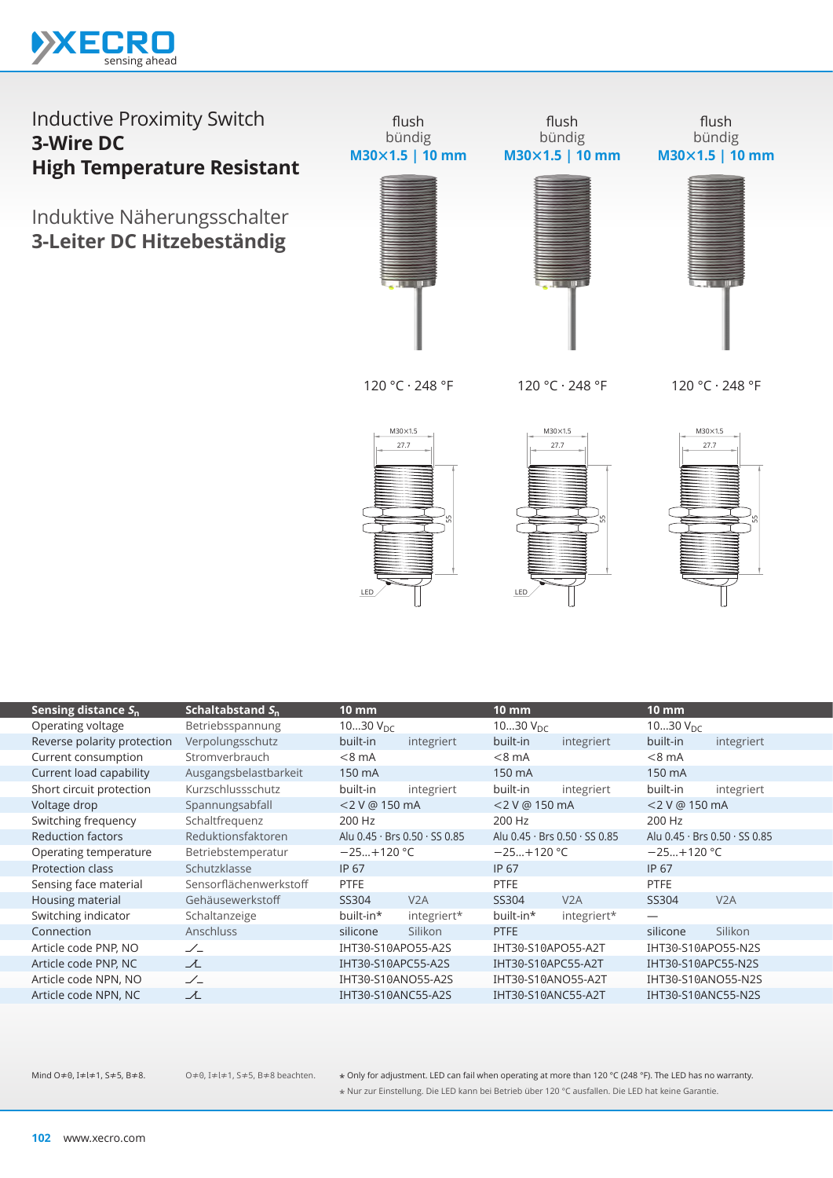

Induktive Näherungsschalter **3-Leiter DC Hitzebeständig**



flush



flush bündig **M30×1.5 | 10 mm**



120 °C · 248 °F

120 °C · 248 °F

120 °C · 248 °F







| Sensing distance $S_n$      | Schaltabstand $S_{n}$  | 10 mm              |                               | <b>10 mm</b>         |                                             | $10 \text{ mm}$    |                               |
|-----------------------------|------------------------|--------------------|-------------------------------|----------------------|---------------------------------------------|--------------------|-------------------------------|
| Operating voltage           | Betriebsspannung       | 1030 $V_{DC}$      |                               | 1030 $V_{\text{DC}}$ |                                             | 1030 $V_{DC}$      |                               |
| Reverse polarity protection | Verpolungsschutz       | built-in           | integriert                    | built-in             | integriert                                  | built-in           | integriert                    |
| Current consumption         | Stromverbrauch         | $< 8$ mA           |                               | $< 8$ mA             |                                             | $< 8$ mA           |                               |
| Current load capability     | Ausgangsbelastbarkeit  | 150 mA             |                               | 150 mA               |                                             | 150 mA             |                               |
| Short circuit protection    | Kurzschlussschutz      | built-in           | integriert                    | built-in             | integriert                                  | built-in           | integriert                    |
| Voltage drop                | Spannungsabfall        | <2 V @ 150 mA      |                               | <2 V @ 150 mA        |                                             | $<$ 2 V @ 150 mA   |                               |
| Switching frequency         | Schaltfrequenz         | 200 Hz             |                               | 200 Hz               |                                             | 200 Hz             |                               |
| <b>Reduction factors</b>    | Reduktionsfaktoren     |                    | Alu 0.45 · Brs 0.50 · SS 0.85 |                      | Alu $0.45 \cdot$ Brs $0.50 \cdot$ SS $0.85$ |                    | Alu 0.45 · Brs 0.50 · SS 0.85 |
| Operating temperature       | Betriebstemperatur     | $-25+120$ °C       |                               | $-25+120$ °C         |                                             | $-25+120$ °C       |                               |
| Protection class            | Schutzklasse           | IP 67              |                               | <b>IP 67</b>         |                                             | IP 67              |                               |
| Sensing face material       | Sensorflächenwerkstoff | <b>PTFE</b>        |                               | <b>PTFE</b>          |                                             | <b>PTFE</b>        |                               |
| Housing material            | Gehäusewerkstoff       | SS304              | V2A                           | SS304                | V2A                                         | SS304              | V2A                           |
| Switching indicator         | Schaltanzeige          | built-in*          | integriert*                   | built-in*            | integriert*                                 | —                  |                               |
| Connection                  | <b>Anschluss</b>       | silicone           | Silikon                       | <b>PTFE</b>          |                                             | silicone           | Silikon                       |
| Article code PNP, NO        | $\angle$               | IHT30-S10APO55-A2S |                               | IHT30-S10APO55-A2T   |                                             | IHT30-S10APO55-N2S |                               |
| Article code PNP, NC        | て                      | IHT30-S10APC55-A2S |                               | IHT30-S10APC55-A2T   |                                             | IHT30-S10APC55-N2S |                               |
| Article code NPN, NO        | $\angle$               | IHT30-S10ANO55-A2S |                               | IHT30-S10ANO55-A2T   |                                             | IHT30-S10ANO55-N2S |                               |
| Article code NPN, NC        | ᆺ                      | IHT30-S10ANC55-A2S |                               | IHT30-S10ANC55-A2T   |                                             | IHT30-S10ANC55-N2S |                               |
|                             |                        |                    |                               |                      |                                             |                    |                               |

O≠0, I≠l≠1, S≠5, B≠8 beachten.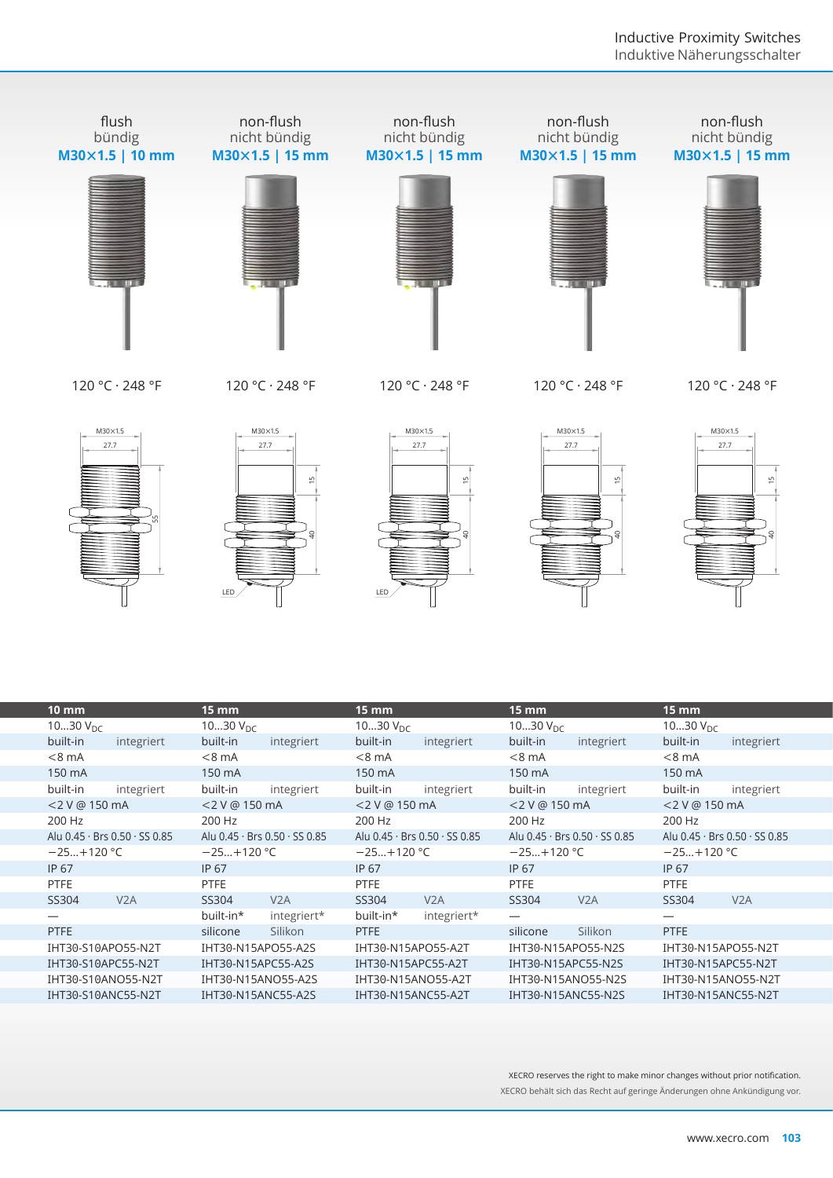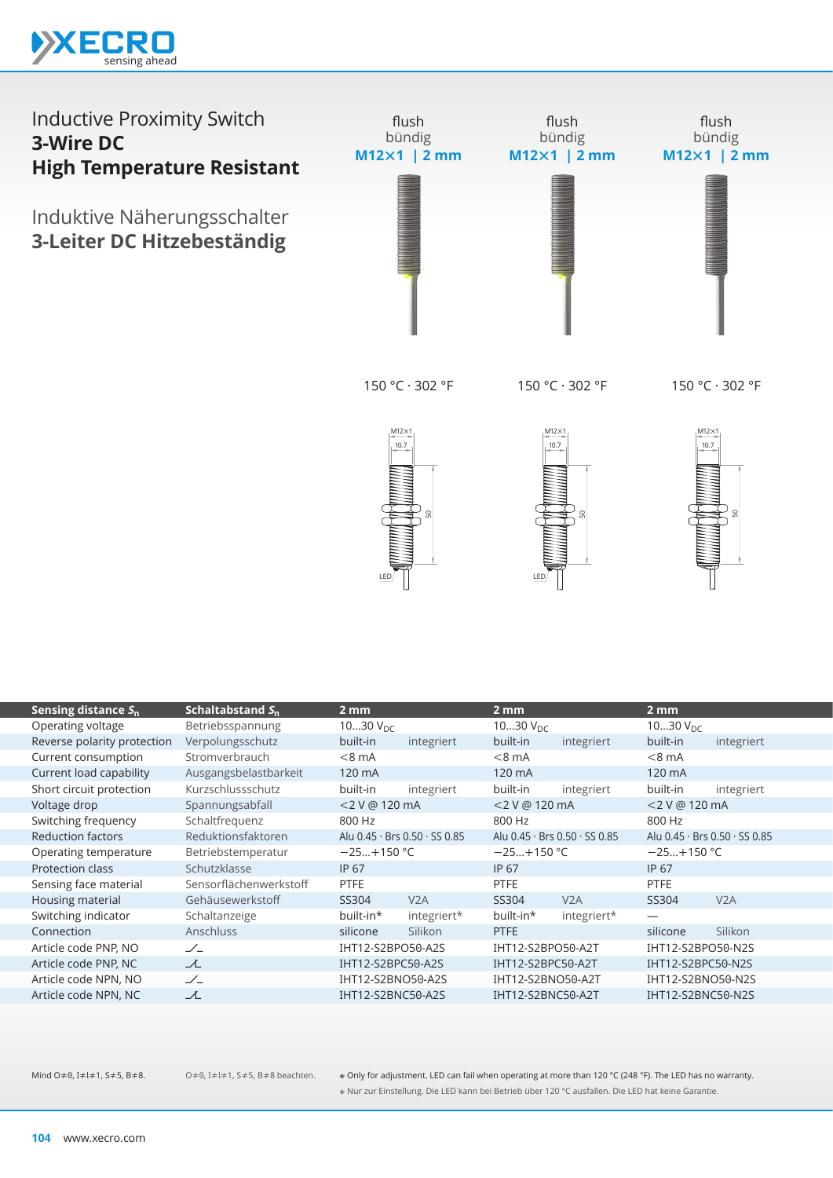

#### Inductive Proximity Switch **3-Wire DC High Temperature Resistant** Induktive Näherungsschalter **3-Leiter DC Hitzebeständig** flush bündig **M12×1 | 2 mm** flush bündig **M12×1 | 2 mm** flush bündig **M12×1 | 2 mm**

150 °C · 302 °F

150 °C · 302 °F

150 °C · 302 °F







|                             |                        | LED <sub>/</sub>     |                               | LED.                 |                               |                   |                               |
|-----------------------------|------------------------|----------------------|-------------------------------|----------------------|-------------------------------|-------------------|-------------------------------|
| Sensing distance $S_n$      | Schaltabstand $S_n$    | 2 <sub>mm</sub>      |                               | 2mm                  |                               | $2 \,\mathrm{mm}$ |                               |
| Operating voltage           | Betriebsspannung       | 1030 $V_{\text{DC}}$ |                               | 1030 $V_{\text{DC}}$ |                               | 1030 $V_{DC}$     |                               |
| Reverse polarity protection | Verpolungsschutz       | built-in             | integriert                    | built-in             | integriert                    | built-in          | integriert                    |
| Current consumption         | Stromverbrauch         | $< 8$ mA             |                               | $< 8$ mA             |                               | $< 8$ mA          |                               |
| Current load capability     | Ausgangsbelastbarkeit  | 120 mA               |                               | 120 mA               |                               | 120 mA            |                               |
| Short circuit protection    | Kurzschlussschutz      | built-in             | integriert                    | built-in             | integriert                    | built-in          | integriert                    |
| Voltage drop                | Spannungsabfall        | <2 V @ 120 mA        |                               | <2 V @ 120 mA        |                               | <2 V @ 120 mA     |                               |
| Switching frequency         | Schaltfrequenz         | 800 Hz               |                               | 800 Hz               |                               | 800 Hz            |                               |
| <b>Reduction factors</b>    | Reduktionsfaktoren     |                      | Alu 0.45 · Brs 0.50 · SS 0.85 |                      | Alu 0.45 · Brs 0.50 · SS 0.85 |                   | Alu 0.45 · Brs 0.50 · SS 0.85 |
| Operating temperature       | Betriebstemperatur     | $-25+150$ °C         |                               | $-25+150$ °C         |                               | $-25+150 °C$      |                               |
| Protection class            | Schutzklasse           | <b>IP 67</b>         |                               | <b>IP 67</b>         |                               | <b>IP 67</b>      |                               |
| Sensing face material       | Sensorflächenwerkstoff | PTFE                 |                               | PTFE                 |                               | <b>PTFE</b>       |                               |
| Housing material            | Gehäusewerkstoff       | SS304                | V2A                           | SS304                | V2A                           | SS304             | V2A                           |
| Switching indicator         | Schaltanzeige          | built-in*            | integriert*                   | built-in*            | integriert*                   |                   |                               |
| Connection                  | Anschluss              | silicone             | Silikon                       | PTFE                 |                               | silicone          | Silikon                       |
| Article code PNP, NO        | $\angle$               | IHT12-S2BPO50-A2S    |                               | IHT12-S2BPO50-A2T    |                               | IHT12-S2BPO50-N2S |                               |
| Article code PNP, NC        | 工                      | IHT12-S2BPC50-A2S    |                               | IHT12-S2BPC50-A2T    |                               | IHT12-S2BPC50-N2S |                               |
| Article code NPN, NO        | $\angle$               | IHT12-S2BNO50-A2S    |                               | IHT12-S2BNO50-A2T    |                               | IHT12-S2BNO50-N2S |                               |
| Article code NPN, NC        | ユ                      | IHT12-S2BNC50-A2S    |                               | IHT12-S2BNC50-A2T    |                               | IHT12-S2BNC50-N2S |                               |
|                             |                        |                      |                               |                      |                               |                   |                               |

O≠0, I≠l≠1, S≠5, B≠8 beachten.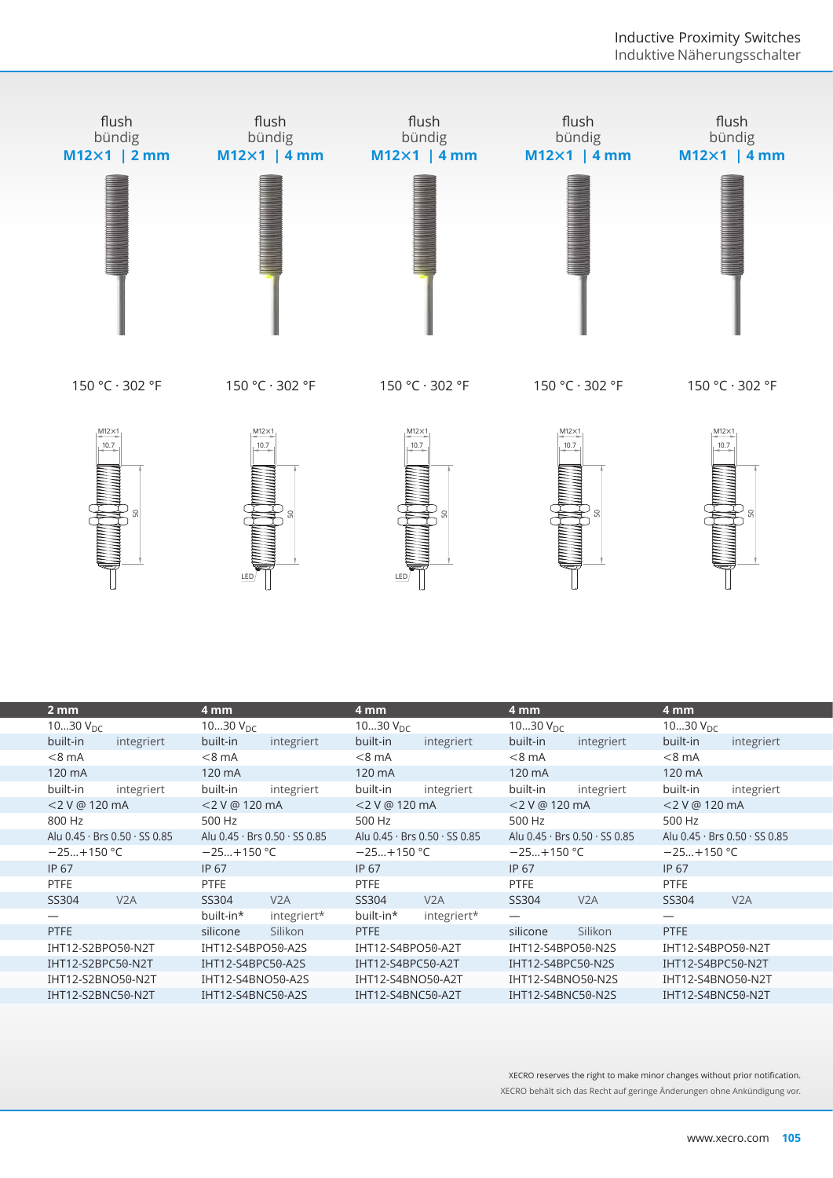



 $M12\times1$ 

 $10.7$ 







|                               | LED                           | LED                           |                               |                               |
|-------------------------------|-------------------------------|-------------------------------|-------------------------------|-------------------------------|
| 2 <sub>mm</sub>               | 4 mm                          | 4 mm                          | 4mm                           | 4 mm                          |
| 1030 $V_{DC}$                 | 1030 $V_{\text{DC}}$          | 1030 $V_{DC}$                 | 1030 $V_{DC}$                 | 1030 $V_{DC}$                 |
| built-in<br>integriert        | built-in<br>integriert        | built-in<br>integriert        | built-in<br>integriert        | built-in<br>integriert        |
| $< 8$ mA                      | $< 8$ mA                      | $< 8$ mA                      | $< 8$ mA                      | $< 8$ mA                      |
| 120 mA                        | 120 mA                        | 120 mA                        | 120 mA                        | 120 mA                        |
| built-in<br>integriert        | built-in<br>integriert        | built-in<br>integriert        | built-in<br>integriert        | built-in<br>integriert        |
| <2 V @ 120 mA                 | <2 V @ 120 mA                 | <2 V @ 120 mA                 | <2 V @ 120 mA                 | <2 V @ 120 mA                 |
| 800 Hz                        | 500 Hz                        | 500 Hz                        | 500 Hz                        | 500 Hz                        |
| Alu 0.45 · Brs 0.50 · SS 0.85 | Alu 0.45 · Brs 0.50 · SS 0.85 | Alu 0.45 · Brs 0.50 · SS 0.85 | Alu 0.45 · Brs 0.50 · SS 0.85 | Alu 0.45 · Brs 0.50 · SS 0.85 |
| $-25+150$ °C                  | $-25+150$ °C                  | $-25+150$ °C                  | $-25+150$ °C                  | $-25+150 °C$                  |
| IP 67                         | <b>IP 67</b>                  | <b>IP 67</b>                  | <b>IP 67</b>                  | <b>IP 67</b>                  |
| PTFE                          | <b>PTFE</b>                   | PTFE                          | <b>PTFE</b>                   | <b>PTFE</b>                   |
| SS304<br>V <sub>2</sub> A     | V <sub>2</sub> A<br>SS304     | SS304<br>V2A                  | SS304<br>V2A                  | V2A<br>SS304                  |
|                               | built-in*<br>integriert*      | built-in*<br>integriert*      |                               | $\overline{\phantom{0}}$      |
| <b>PTFE</b>                   | Silikon<br>silicone           | PTFE                          | Silikon<br>silicone           | <b>PTFE</b>                   |
| IHT12-S2BPO50-N2T             | IHT12-S4BPO50-A2S             | IHT12-S4BPO50-A2T             | IHT12-S4BPO50-N2S             | IHT12-S4BPO50-N2T             |
| IHT12-S2BPC50-N2T             | IHT12-S4BPC50-A2S             | IHT12-S4BPC50-A2T             | IHT12-S4BPC50-N2S             | IHT12-S4BPC50-N2T             |
| IHT12-S2BNO50-N2T             | IHT12-S4BNO50-A2S             | IHT12-S4BNO50-A2T             | IHT12-S4BNO50-N2S             | IHT12-S4BNO50-N2T             |
| IHT12-S2BNC50-N2T             | IHT12-S4BNC50-A2S             | IHT12-S4BNC50-A2T             | IHT12-S4BNC50-N2S             | IHT12-S4BNC50-N2T             |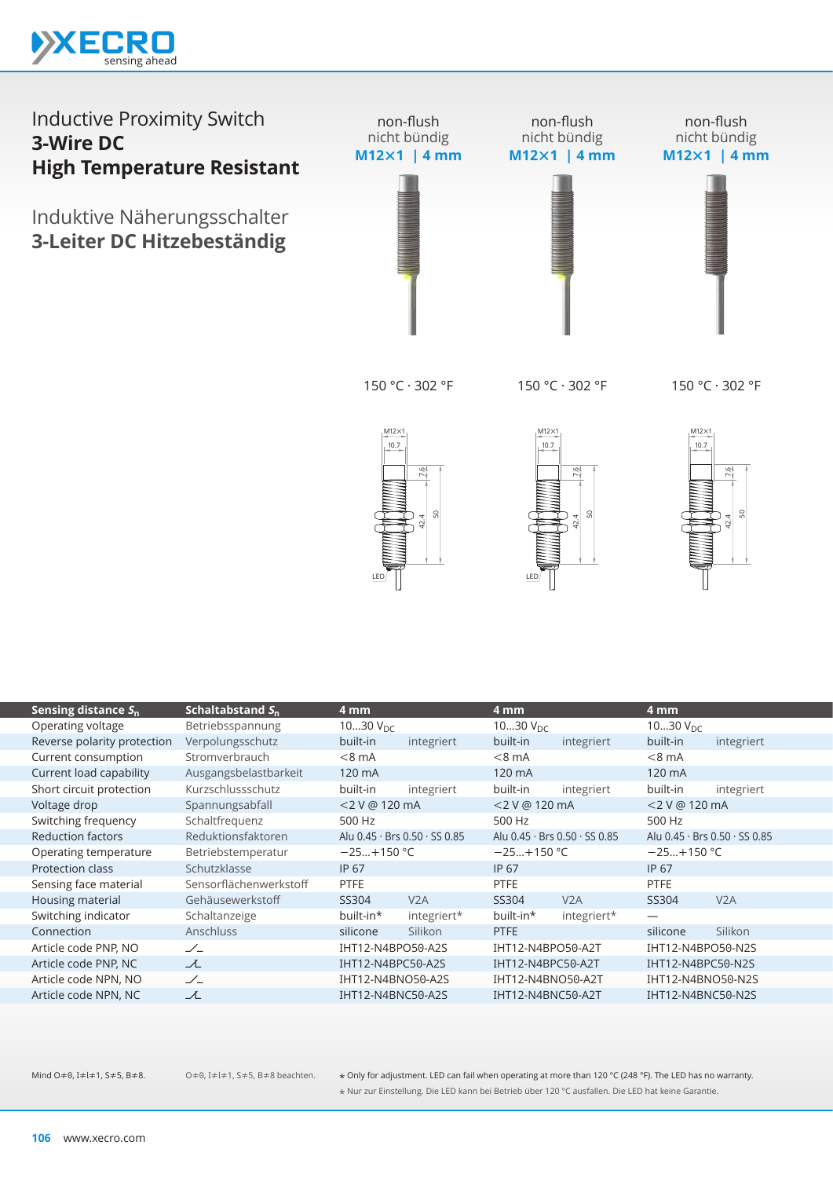

#### Inductive Proximity Switch **3-Wire DC High Temperature Resistant** Induktive Näherungsschalter **3-Leiter DC Hitzebeständig** non-flush nicht bündig **M12×1 | 4 mm** non-flush nicht bündig **M12×1 | 4 mm** non-flush nicht bündig **M12×1 | 4 mm**

150 °C · 302 °F

150 °C · 302 °F

150 °C · 302 °F





 $10.7$  $M12\times1$ 7.6

|                             |                        | LED/              | ္တ                            | LED               | ္တ<br>42.4                    |                   | s<br>42.4                     |
|-----------------------------|------------------------|-------------------|-------------------------------|-------------------|-------------------------------|-------------------|-------------------------------|
| Sensing distance $S_n$      | Schaltabstand $S_n$    | 4 mm              |                               | 4 mm              |                               | 4mm               |                               |
| Operating voltage           | Betriebsspannung       | 1030 $V_{DC}$     |                               | 1030 $V_{DC}$     |                               | 1030 $V_{DC}$     |                               |
| Reverse polarity protection | Verpolungsschutz       | built-in          | integriert                    | built-in          | integriert                    | built-in          | integriert                    |
| Current consumption         | Stromverbrauch         | $< 8$ mA          |                               | $< 8$ mA          |                               | $< 8$ mA          |                               |
| Current load capability     | Ausgangsbelastbarkeit  | 120 mA            |                               | 120 mA            |                               | 120 mA            |                               |
| Short circuit protection    | Kurzschlussschutz      | built-in          | integriert                    | built-in          | integriert                    | built-in          | integriert                    |
| Voltage drop                | Spannungsabfall        | <2 V @ 120 mA     |                               | <2 V @ 120 mA     |                               | <2 V @ 120 mA     |                               |
| Switching frequency         | Schaltfrequenz         | 500 Hz            |                               | 500 Hz            |                               | 500 Hz            |                               |
| <b>Reduction factors</b>    | Reduktionsfaktoren     |                   | Alu 0.45 · Brs 0.50 · SS 0.85 |                   | Alu 0.45 · Brs 0.50 · SS 0.85 |                   | Alu 0.45 · Brs 0.50 · SS 0.85 |
| Operating temperature       | Betriebstemperatur     | $-25+150$ °C      |                               | $-25+150$ °C      |                               | $-25+150$ °C      |                               |
| Protection class            | Schutzklasse           | <b>IP 67</b>      |                               | IP 67             |                               | IP 67             |                               |
| Sensing face material       | Sensorflächenwerkstoff | PTFE              |                               | PTFE              |                               | PTFE              |                               |
| Housing material            | Gehäusewerkstoff       | SS304             | V2A                           | SS304             | V2A                           | SS304             | V2A                           |
| Switching indicator         | Schaltanzeige          | built-in*         | integriert*                   | built-in*         | integriert*                   |                   |                               |
| Connection                  | Anschluss              | silicone          | Silikon                       | <b>PTFE</b>       |                               | silicone          | Silikon                       |
| Article code PNP, NO        | $\angle$               | IHT12-N4BPO50-A2S |                               | IHT12-N4BPO50-A2T |                               | IHT12-N4BPO50-N2S |                               |
| Article code PNP, NC        | ᆺ                      | IHT12-N4BPC50-A2S |                               | IHT12-N4BPC50-A2T |                               | IHT12-N4BPC50-N2S |                               |
| Article code NPN, NO        | $\angle$               | IHT12-N4BNO50-A2S |                               | IHT12-N4BNO50-A2T |                               | IHT12-N4BNO50-N2S |                               |
| Article code NPN, NC        | ᆺ                      | IHT12-N4BNC50-A2S |                               | IHT12-N4BNC50-A2T |                               | IHT12-N4BNC50-N2S |                               |
|                             |                        |                   |                               |                   |                               |                   |                               |

O≠0, I≠l≠1, S≠5, B≠8 beachten.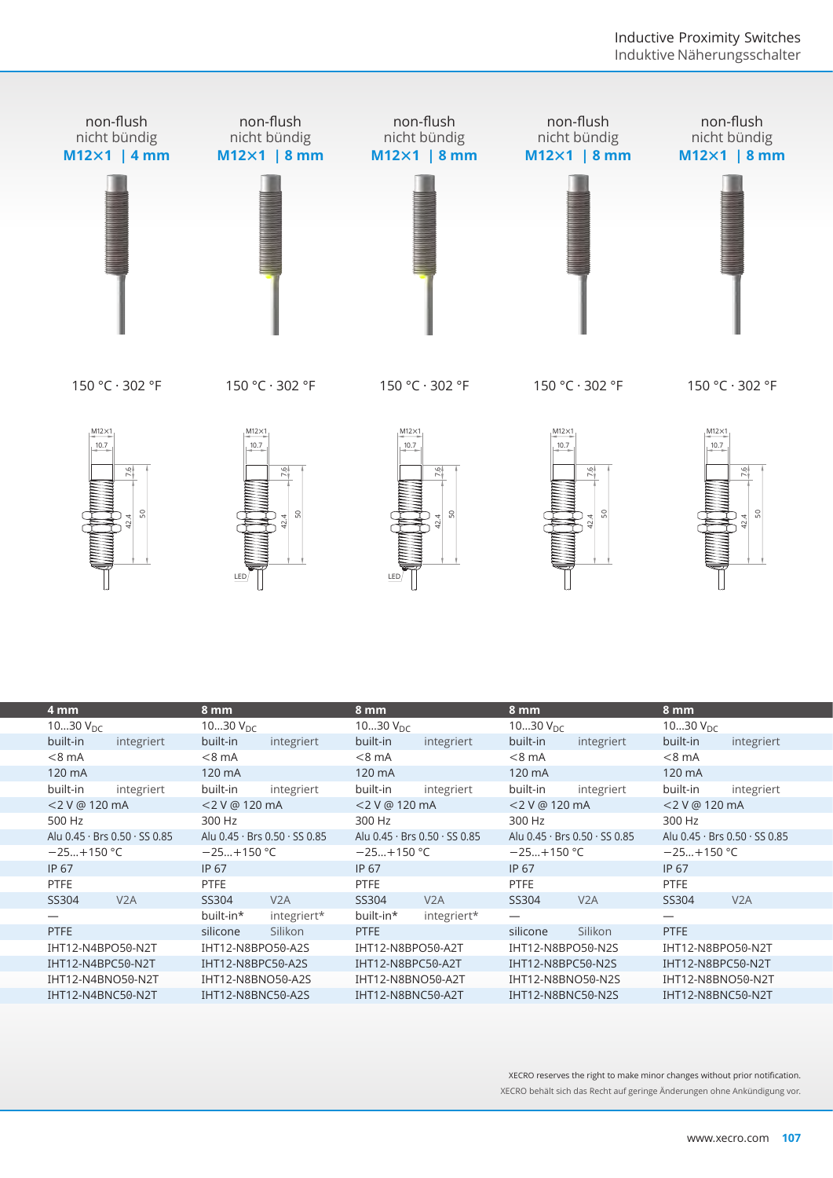

| င္တ                           | s<br>LED.                     | ္တ<br>42.4<br>LED             | s                             | s.                            |
|-------------------------------|-------------------------------|-------------------------------|-------------------------------|-------------------------------|
| 4 mm                          | 8 mm                          | 8 mm                          | 8 mm                          | 8 mm                          |
| 1030 $V_{DC}$                 | 1030 $V_{DC}$                 | 1030 $V_{DC}$                 | 1030 $V_{DC}$                 | 1030 $V_{DC}$                 |
| built-in<br>integriert        | built-in<br>integriert        | built-in<br>integriert        | built-in<br>integriert        | built-in<br>integriert        |
| $< 8$ mA                      | $< 8$ mA                      | $< 8$ mA                      | $< 8$ mA                      | $<8$ mA                       |
| 120 mA                        | 120 mA                        | 120 mA                        | 120 mA                        | 120 mA                        |
| built-in<br>integriert        | built-in<br>integriert        | built-in<br>integriert        | built-in<br>integriert        | built-in<br>integriert        |
| <2 V @ 120 mA                 | <2 V @ 120 mA                 | <2 V @ 120 mA                 | <2 V @ 120 mA                 | <2 V @ 120 mA                 |
| 500 Hz                        | 300 Hz                        | 300 Hz                        | 300 Hz                        | 300 Hz                        |
| Alu 0.45 · Brs 0.50 · SS 0.85 | Alu 0.45 · Brs 0.50 · SS 0.85 | Alu 0.45 · Brs 0.50 · SS 0.85 | Alu 0.45 · Brs 0.50 · SS 0.85 | Alu 0.45 · Brs 0.50 · SS 0.85 |
| $-25+150 °C$                  | $-25+150$ °C                  | $-25+150$ °C                  | $-25+150$ °C                  | $-25+150 °C$                  |
| IP 67                         | IP 67                         | IP 67                         | IP 67                         | IP 67                         |
| <b>PTFE</b>                   | PTFE                          | PTFE                          | <b>PTFE</b>                   | <b>PTFE</b>                   |
| V <sub>2</sub> A<br>SS304     | V2A<br>SS304                  | SS304<br>V2A                  | SS304<br>V <sub>2</sub> A     | SS304<br>V <sub>2</sub> A     |
|                               | built-in*<br>integriert*      | built-in*<br>integriert*      |                               |                               |
| <b>PTFE</b>                   | Silikon<br>silicone           | <b>PTFE</b>                   | Silikon<br>silicone           | <b>PTFE</b>                   |
| IHT12-N4BPO50-N2T             | IHT12-N8BPO50-A2S             | IHT12-N8BPO50-A2T             | IHT12-N8BPO50-N2S             | IHT12-N8BPO50-N2T             |
| IHT12-N4BPC50-N2T             | IHT12-N8BPC50-A2S             | IHT12-N8BPC50-A2T             | IHT12-N8BPC50-N2S             | IHT12-N8BPC50-N2T             |
| IHT12-N4BNO50-N2T             | IHT12-N8BNO50-A2S             | IHT12-N8BNO50-A2T             | IHT12-N8BNO50-N2S             | IHT12-N8BNO50-N2T             |
| IHT12-N4BNC50-N2T             | IHT12-N8BNC50-A2S             | IHT12-N8BNC50-A2T             | IHT12-N8BNC50-N2S             | IHT12-N8BNC50-N2T             |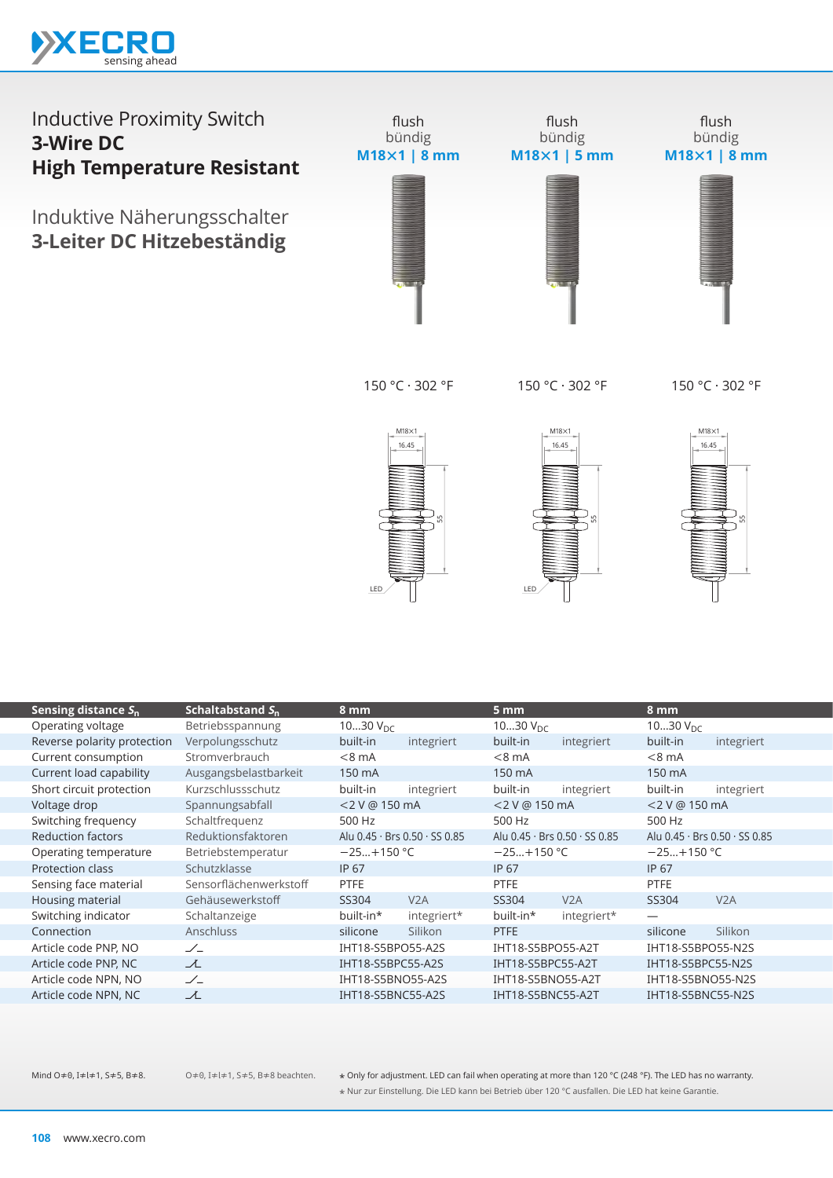

Induktive Näherungsschalter **3-Leiter DC Hitzebeständig**



150 °C · 302 °F

150 °C · 302 °F

150 °C · 302 °F







| Sensing distance $S_{n}$    | Schaltabstand $S_n$    | 8 mm              |                                             | 5 mm                 |                                           | 8 mm              |                               |
|-----------------------------|------------------------|-------------------|---------------------------------------------|----------------------|-------------------------------------------|-------------------|-------------------------------|
| Operating voltage           | Betriebsspannung       | 1030 $V_{DC}$     |                                             | 1030 $V_{\text{DC}}$ |                                           | 1030 $V_{DC}$     |                               |
| Reverse polarity protection | Verpolungsschutz       | built-in          | integriert                                  | built-in             | integriert                                | built-in          | integriert                    |
| Current consumption         | Stromverbrauch         | $< 8$ mA          |                                             | $< 8$ mA             |                                           | $< 8$ mA          |                               |
| Current load capability     | Ausgangsbelastbarkeit  | 150 mA            |                                             | 150 mA               |                                           | 150 mA            |                               |
| Short circuit protection    | Kurzschlussschutz      | built-in          | integriert                                  | built-in             | integriert                                | built-in          | integriert                    |
| Voltage drop                | Spannungsabfall        | <2 V @ 150 mA     |                                             | <2 V @ 150 mA        |                                           | <2 V @ 150 mA     |                               |
| Switching frequency         | Schaltfrequenz         | 500 Hz            |                                             | 500 Hz               |                                           | 500 Hz            |                               |
| <b>Reduction factors</b>    | Reduktionsfaktoren     |                   | Alu $0.45 \cdot$ Brs $0.50 \cdot$ SS $0.85$ |                      | Alu $0.45 \cdot$ Brs $0.50 \cdot$ SS 0.85 |                   | Alu 0.45 · Brs 0.50 · SS 0.85 |
| Operating temperature       | Betriebstemperatur     | $-25+150$ °C      |                                             | $-25+150$ °C         |                                           | $-25+150$ °C      |                               |
| <b>Protection class</b>     | Schutzklasse           | IP 67             |                                             | <b>IP 67</b>         |                                           | IP 67             |                               |
| Sensing face material       | Sensorflächenwerkstoff | <b>PTFE</b>       |                                             | <b>PTFE</b>          |                                           | <b>PTFE</b>       |                               |
| Housing material            | Gehäusewerkstoff       | SS304             | V2A                                         | SS304                | V2A                                       | SS304             | V2A                           |
| Switching indicator         | Schaltanzeige          | built-in*         | integriert*                                 | built-in*            | integriert*                               | —                 |                               |
| Connection                  | Anschluss              | silicone          | Silikon                                     | PTFE                 |                                           | silicone          | Silikon                       |
| Article code PNP, NO        | $\angle$               | IHT18-S5BPO55-A2S |                                             | IHT18-S5BPO55-A2T    |                                           | IHT18-S5BPO55-N2S |                               |
| Article code PNP, NC        | ᆺ                      | IHT18-S5BPC55-A2S |                                             | IHT18-S5BPC55-A2T    |                                           | IHT18-S5BPC55-N2S |                               |
| Article code NPN, NO        | $\angle$               | IHT18-S5BNO55-A2S |                                             | IHT18-S5BNO55-A2T    |                                           | IHT18-S5BNO55-N2S |                               |
| Article code NPN, NC        | ユ                      | IHT18-S5BNC55-A2S |                                             | IHT18-S5BNC55-A2T    |                                           | IHT18-S5BNC55-N2S |                               |
|                             |                        |                   |                                             |                      |                                           |                   |                               |

O≠0, I≠l≠1, S≠5, B≠8 beachten.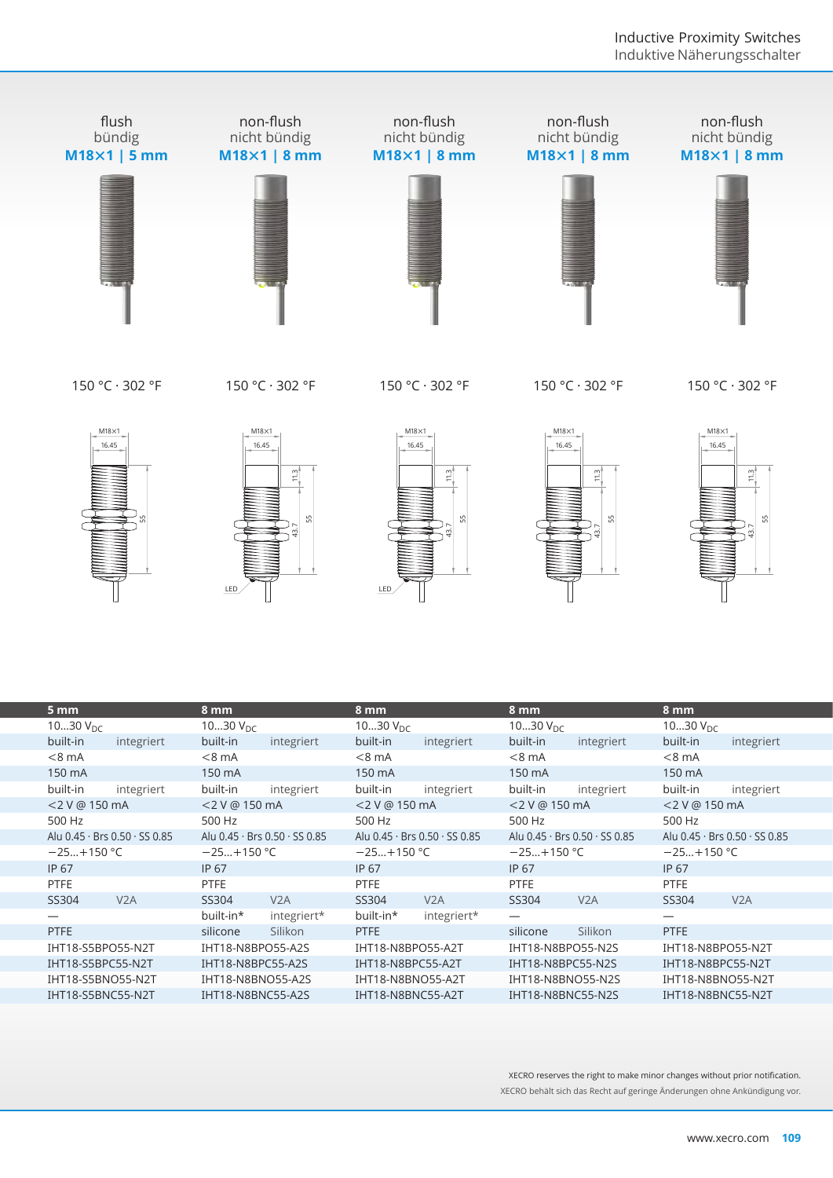

150 °C · 302 °F

150 °C · 302 °F

150 °C · 302 °F

150 °C · 302 °F

150 °C · 302 °F











|                               | LED                                                         | SS.<br>SS.<br>LED             |                                        |                               |
|-------------------------------|-------------------------------------------------------------|-------------------------------|----------------------------------------|-------------------------------|
| 5 mm<br>1030 $V_{DC}$         | 8 mm<br>1030 $V_{DC}$                                       | 8 mm<br>1030 $V_{DC}$         | 8 mm<br>1030 $V_{DC}$                  | 8 mm<br>1030 $V_{DC}$         |
| built-in<br>integriert        | built-in<br>integriert                                      | built-in<br>integriert        | built-in<br>integriert                 | built-in<br>integriert        |
| $< 8$ mA                      | $< 8$ mA                                                    | $< 8$ mA                      | $< 8$ mA                               | $< 8$ mA                      |
| 150 mA                        | 150 mA                                                      | 150 mA                        | 150 mA                                 | 150 mA                        |
| built-in<br>integriert        | built-in<br>integriert                                      | built-in<br>integriert        | built-in<br>integriert                 | built-in<br>integriert        |
| <2 V @ 150 mA                 | <2 V @ 150 mA                                               | <2 V @ 150 mA                 | <2 V @ 150 mA                          | <2 V @ 150 mA                 |
| 500 Hz                        | 500 Hz                                                      | 500 Hz                        | 500 Hz                                 | 500 Hz                        |
| Alu 0.45 · Brs 0.50 · SS 0.85 | Alu 0.45 · Brs 0.50 · SS 0.85                               | Alu 0.45 · Brs 0.50 · SS 0.85 | Alu 0.45 · Brs 0.50 · SS 0.85          | Alu 0.45 · Brs 0.50 · SS 0.85 |
| $-25+150 °C$                  | $-25+150$ °C                                                | $-25+150$ °C                  | $-25+150$ °C                           | $-25+150$ °C                  |
| IP 67                         | <b>IP 67</b>                                                | <b>IP 67</b>                  | <b>IP 67</b>                           | IP 67                         |
| <b>PTFE</b>                   | <b>PTFE</b>                                                 | <b>PTFE</b>                   | <b>PTFE</b>                            | <b>PTFE</b>                   |
| SS304<br>V2A                  | V2A<br>SS304                                                | SS304<br>V2A                  | V2A<br>SS304                           | SS304<br>V2A                  |
| —                             | built-in*<br>integriert*                                    | built-in*<br>integriert*      |                                        | $\overline{\phantom{0}}$      |
| <b>PTFE</b>                   | Silikon<br>silicone                                         | <b>PTFE</b>                   | silicone<br>Silikon                    | <b>PTFE</b>                   |
| IHT18-S5BPO55-N2T             | IHT18-N8BPO55-A2S                                           | IHT18-N8BPO55-A2T             | IHT18-N8BPO55-N2S                      | IHT18-N8BPO55-N2T             |
| IHT18-S5BPC55-N2T             | IHT18-N8BPC55-A2S                                           | IHT18-N8BPC55-A2T             | IHT18-N8BPC55-N2S                      | IHT18-N8BPC55-N2T             |
| IHT18-S5BNO55-N2T             | IHT18-N8BNO55-A2S                                           | IHT18-N8BNO55-A2T             | IHT18-N8BNO55-N2S<br>IHT18-N8BNO55-N2T |                               |
|                               | IHT18-S5BNC55-N2T<br>IHT18-N8BNC55-A2S<br>IHT18-N8BNC55-A2T |                               | IHT18-N8BNC55-N2S<br>IHT18-N8BNC55-N2T |                               |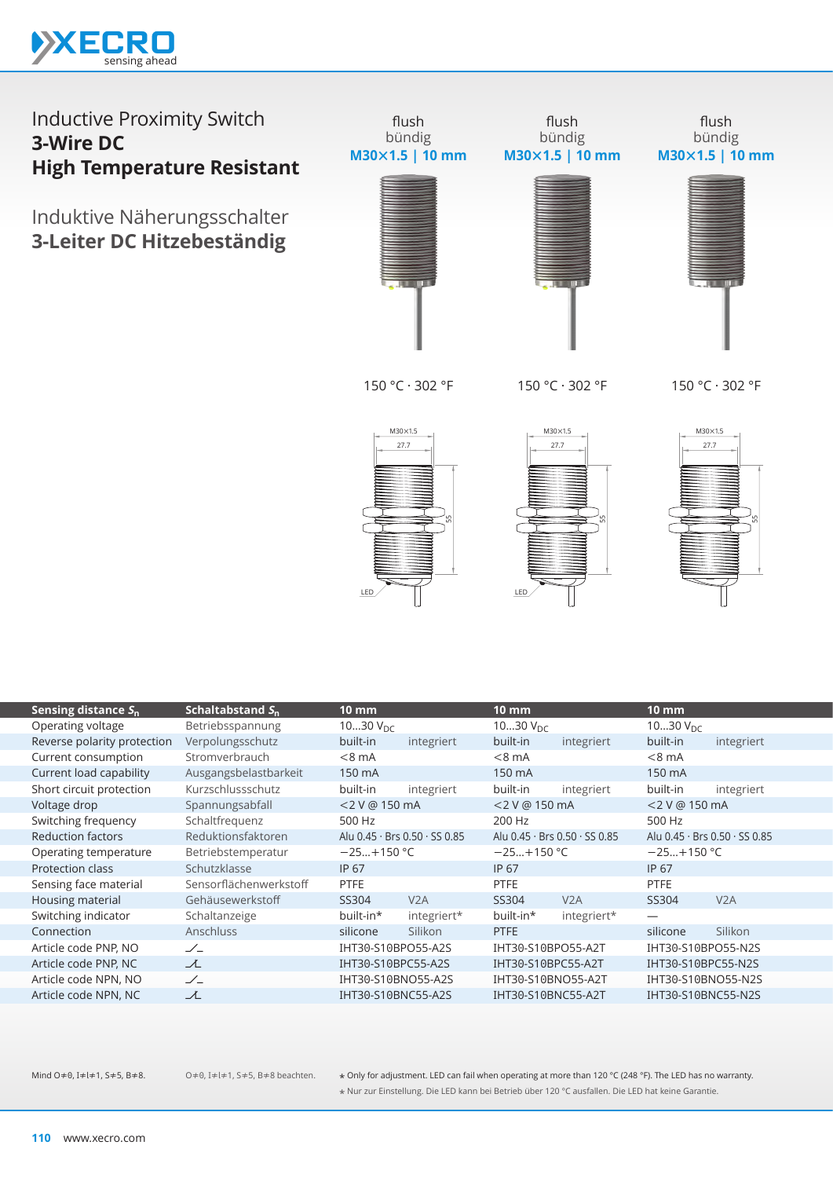

Induktive Näherungsschalter **3-Leiter DC Hitzebeständig**



flush



flush bündig **M30×1.5 | 10 mm**



150 °C · 302 °F

150 °C · 302 °F

150 °C · 302 °F







| Sensing distance $S_n$      | Schaltabstand $S_{n}$  | 10 mm              |                               | <u>'10 mm </u>     |                                             | $10 \text{ mm}$    |                                             |  |
|-----------------------------|------------------------|--------------------|-------------------------------|--------------------|---------------------------------------------|--------------------|---------------------------------------------|--|
| Operating voltage           | Betriebsspannung       | 1030 $V_{DC}$      |                               | 1030 $V_{DC}$      |                                             | 1030 $V_{DC}$      |                                             |  |
| Reverse polarity protection | Verpolungsschutz       | built-in           | integriert                    | built-in           | integriert                                  | built-in           | integriert                                  |  |
| Current consumption         | Stromverbrauch         | $< 8$ mA           |                               | $< 8$ mA           |                                             | $< 8$ mA           |                                             |  |
| Current load capability     | Ausgangsbelastbarkeit  | 150 mA             |                               | 150 mA             |                                             | 150 mA             |                                             |  |
| Short circuit protection    | Kurzschlussschutz      | built-in           | integriert                    | built-in           | integriert                                  | built-in           | integriert                                  |  |
| Voltage drop                | Spannungsabfall        | <2 V @ 150 mA      |                               |                    | <2 V @ 150 mA                               |                    | <2 V @ 150 mA                               |  |
| Switching frequency         | Schaltfrequenz         | 500 Hz             |                               | 200 Hz             |                                             | 500 Hz             |                                             |  |
| <b>Reduction factors</b>    | Reduktionsfaktoren     |                    | Alu 0.45 · Brs 0.50 · SS 0.85 |                    | Alu $0.45 \cdot$ Brs $0.50 \cdot$ SS $0.85$ |                    | Alu $0.45 \cdot$ Brs $0.50 \cdot$ SS $0.85$ |  |
| Operating temperature       | Betriebstemperatur     | $-25+150$ °C       |                               | $-25+150$ °C       |                                             | $-25+150$ °C       |                                             |  |
| Protection class            | Schutzklasse           | IP 67              |                               | IP 67              |                                             | IP 67              |                                             |  |
| Sensing face material       | Sensorflächenwerkstoff | <b>PTFE</b>        |                               | <b>PTFE</b>        |                                             | <b>PTFE</b>        |                                             |  |
| Housing material            | Gehäusewerkstoff       | SS304              | V2A                           | SS304              | V2A                                         | SS304              | V2A                                         |  |
| Switching indicator         | Schaltanzeige          | built-in*          | integriert*                   | built-in*          | integriert*                                 |                    |                                             |  |
| Connection                  | <b>Anschluss</b>       | silicone           | Silikon                       | <b>PTFE</b>        |                                             | silicone           | Silikon                                     |  |
| Article code PNP, NO        | $\angle$               | IHT30-S10BPO55-A2S |                               | IHT30-S10BPO55-A2T |                                             | IHT30-S10BPO55-N2S |                                             |  |
| Article code PNP, NC        | ᆺ                      | IHT30-S10BPC55-A2S |                               | IHT30-S10BPC55-A2T |                                             |                    | IHT30-S10BPC55-N2S                          |  |
| Article code NPN, NO        | $\angle$               | IHT30-S10BNO55-A2S |                               | IHT30-S10BNO55-A2T |                                             |                    | IHT30-S10BNO55-N2S                          |  |
| Article code NPN, NC        | ᆺ                      | IHT30-S10BNC55-A2S |                               | IHT30-S10BNC55-A2T |                                             |                    | IHT30-S10BNC55-N2S                          |  |
|                             |                        |                    |                               |                    |                                             |                    |                                             |  |

O≠0, I≠l≠1, S≠5, B≠8 beachten.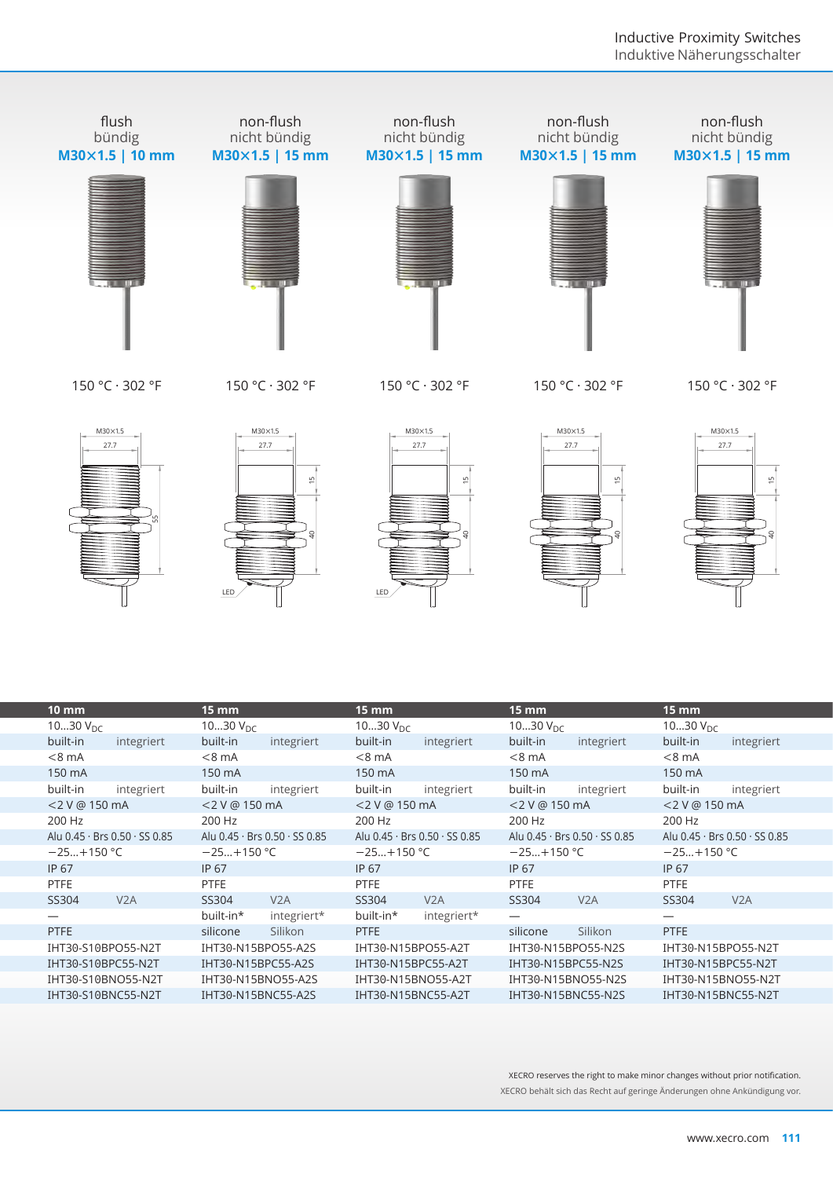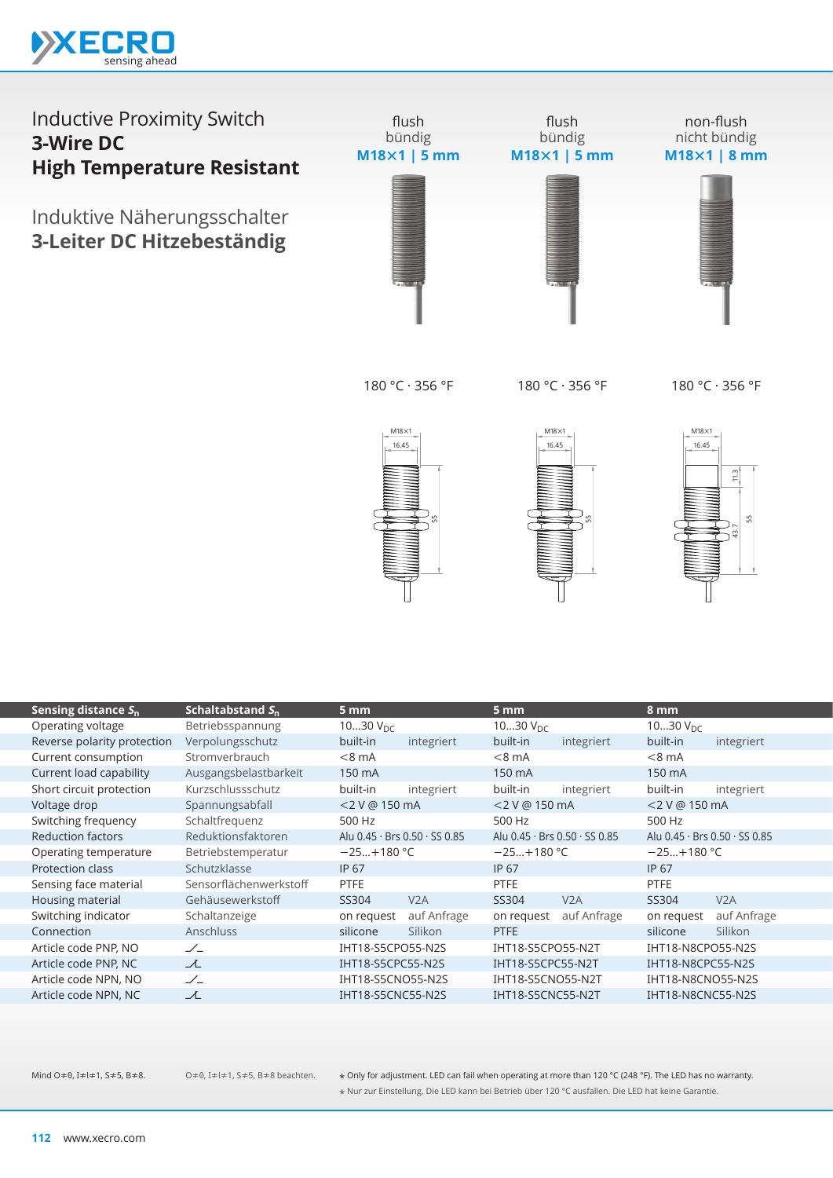

Induktive Näherungsschalter **3-Leiter DC Hitzebeständig**



flush bündig **M18×1 | 5 mm**

non-flush nicht bündig **M18×1 | 8 mm**



180 °C · 356 °F

180 °C · 356 °F

180 °C · 356 °F





 $M18\times1$ 6.45  $11.3$  $43.7$  11.3

|                                 |                        |                               |             |                               |             |                               | s.          |
|---------------------------------|------------------------|-------------------------------|-------------|-------------------------------|-------------|-------------------------------|-------------|
| Sensing distance S <sub>n</sub> | Schaltabstand $S_n$    | 5 mm                          |             | 5 <sub>mm</sub>               |             | 8 mm                          |             |
| Operating voltage               | Betriebsspannung       | 1030 $V_{DC}$                 |             | 1030 $V_{DC}$                 |             | 1030 $V_{DC}$                 |             |
| Reverse polarity protection     | Verpolungsschutz       | built-in                      | integriert  | built-in                      | integriert  | built-in                      | integriert  |
| Current consumption             | Stromverbrauch         | $< 8$ mA                      |             | $< 8$ mA                      |             | $< 8$ mA                      |             |
| Current load capability         | Ausgangsbelastbarkeit  | 150 mA                        |             | 150 mA                        |             | 150 mA                        |             |
| Short circuit protection        | Kurzschlussschutz      | built-in                      | integriert  | built-in                      | integriert  | built-in                      | integriert  |
| Voltage drop                    | Spannungsabfall        | <2 V @ 150 mA                 |             | <2 V @ 150 mA                 |             | <2 V @ 150 mA                 |             |
| Switching frequency             | Schaltfrequenz         | 500 Hz                        |             | 500 Hz                        |             | 500 Hz                        |             |
| <b>Reduction factors</b>        | Reduktionsfaktoren     | Alu 0.45 · Brs 0.50 · SS 0.85 |             | Alu 0.45 · Brs 0.50 · SS 0.85 |             | Alu 0.45 · Brs 0.50 · SS 0.85 |             |
| Operating temperature           | Betriebstemperatur     | $-25+180 °C$                  |             | $-25+180 °C$                  |             | $-25+180 °C$                  |             |
| Protection class                | Schutzklasse           | <b>IP 67</b>                  |             | IP 67                         |             | <b>IP 67</b>                  |             |
| Sensing face material           | Sensorflächenwerkstoff | <b>PTFE</b>                   |             | PTFE                          |             | PTFE                          |             |
| Housing material                | Gehäusewerkstoff       | SS304                         | V2A         | SS304                         | V2A         | SS304                         | V2A         |
| Switching indicator             | Schaltanzeige          | on request                    | auf Anfrage | on request                    | auf Anfrage | on request                    | auf Anfrage |
| Connection                      | Anschluss              | silicone                      | Silikon     | <b>PTFE</b>                   |             | silicone                      | Silikon     |
| Article code PNP, NO            | $\angle$               | IHT18-S5CPO55-N2S             |             | IHT18-S5CPO55-N2T             |             | IHT18-N8CPO55-N2S             |             |
| Article code PNP, NC            | ᆺ                      | IHT18-S5CPC55-N2S             |             | IHT18-S5CPC55-N2T             |             | IHT18-N8CPC55-N2S             |             |
| Article code NPN, NO            | $\angle$               | IHT18-S5CNO55-N2S             |             | IHT18-S5CNO55-N2T             |             | IHT18-N8CNO55-N2S             |             |
| Article code NPN, NC            | ᆺ                      | IHT18-S5CNC55-N2S             |             | IHT18-S5CNC55-N2T             |             | IHT18-N8CNC55-N2S             |             |
|                                 |                        |                               |             |                               |             |                               |             |

O≠0, I≠l≠1, S≠5, B≠8 beachten.